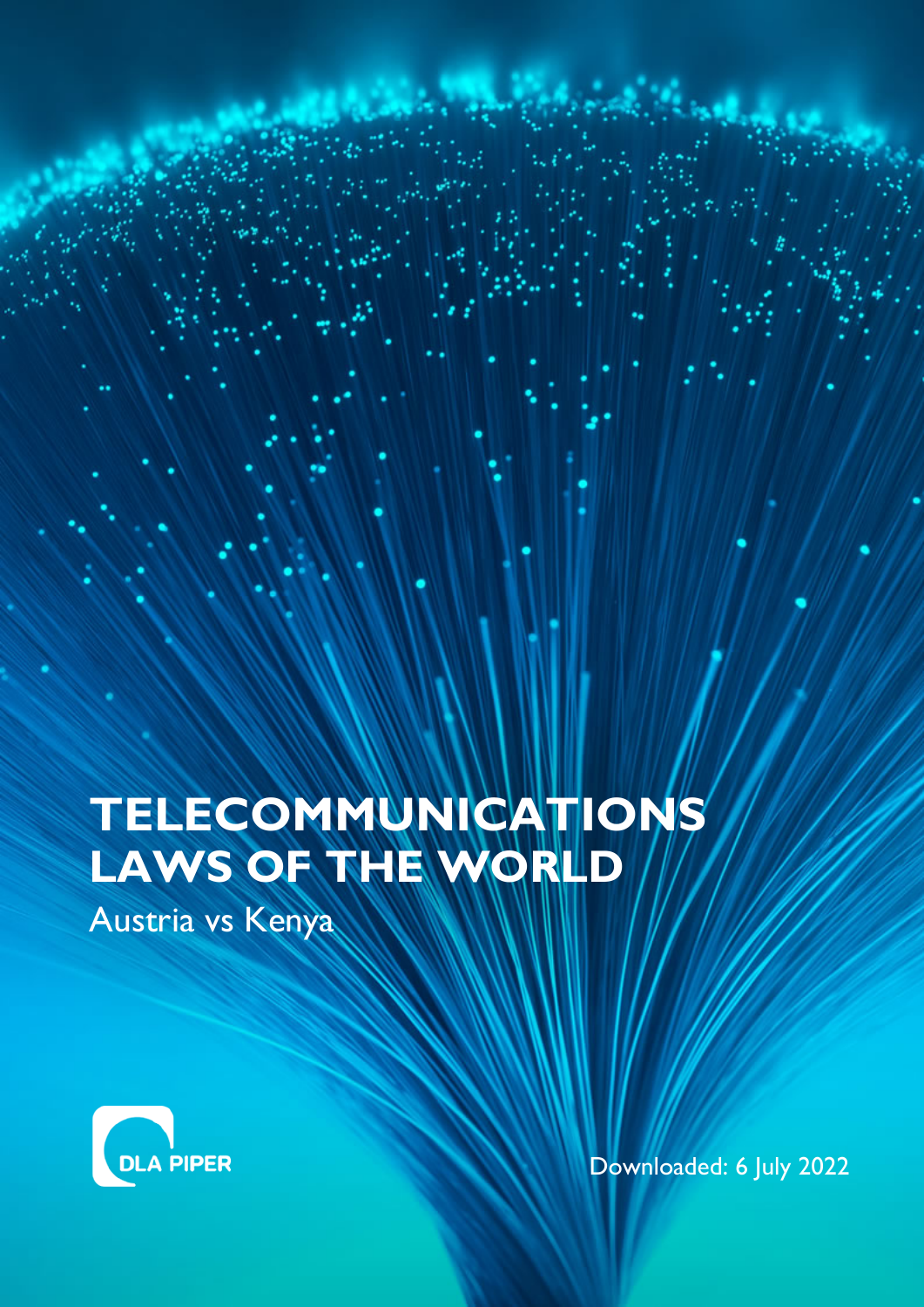# **TELECOMMUNICATIONS LAWS OF THE WORLD**

Austria vs Kenya



Downloaded: 6 July 2022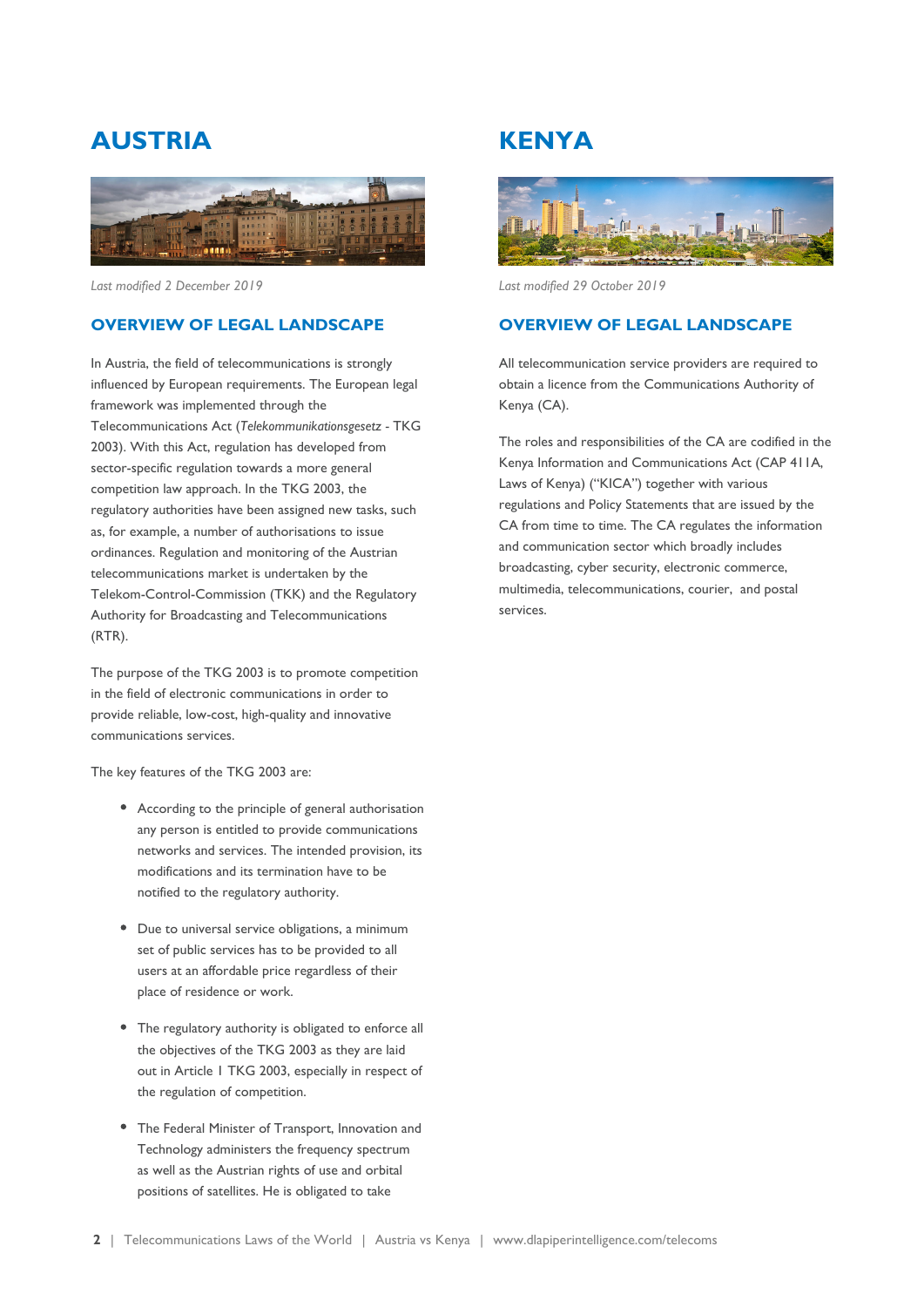# **AUSTRIA**



*Last modified 2 December 2019*

### **OVERVIEW OF LEGAL LANDSCAPE**

In Austria, the field of telecommunications is strongly influenced by European requirements. The European legal framework was implemented through the Telecommunications Act (*Telekommunikationsgesetz -* TKG 2003). With this Act, regulation has developed from sector-specific regulation towards a more general competition law approach. In the TKG 2003, the regulatory authorities have been assigned new tasks, such as, for example, a number of authorisations to issue ordinances. Regulation and monitoring of the Austrian telecommunications market is undertaken by the Telekom-Control-Commission (TKK) and the Regulatory Authority for Broadcasting and Telecommunications (RTR).

The purpose of the TKG 2003 is to promote competition in the field of electronic communications in order to provide reliable, low-cost, high-quality and innovative communications services.

The key features of the TKG 2003 are:

- According to the principle of general authorisation any person is entitled to provide communications networks and services. The intended provision, its modifications and its termination have to be notified to the regulatory authority.
- Due to universal service obligations, a minimum set of public services has to be provided to all users at an affordable price regardless of their place of residence or work.
- The regulatory authority is obligated to enforce all the objectives of the TKG 2003 as they are laid out in Article 1 TKG 2003, especially in respect of the regulation of competition.
- The Federal Minister of Transport, Innovation and Technology administers the frequency spectrum as well as the Austrian rights of use and orbital positions of satellites. He is obligated to take

## **KENYA**



*Last modified 29 October 2019*

### **OVERVIEW OF LEGAL LANDSCAPE**

All telecommunication service providers are required to obtain a licence from the Communications Authority of Kenya (CA).

The roles and responsibilities of the CA are codified in the Kenya Information and Communications Act (CAP 411A, Laws of Kenya) ("KICA") together with various regulations and Policy Statements that are issued by the CA from time to time. The CA regulates the information and communication sector which broadly includes broadcasting, cyber security, electronic commerce, multimedia, telecommunications, courier, and postal services.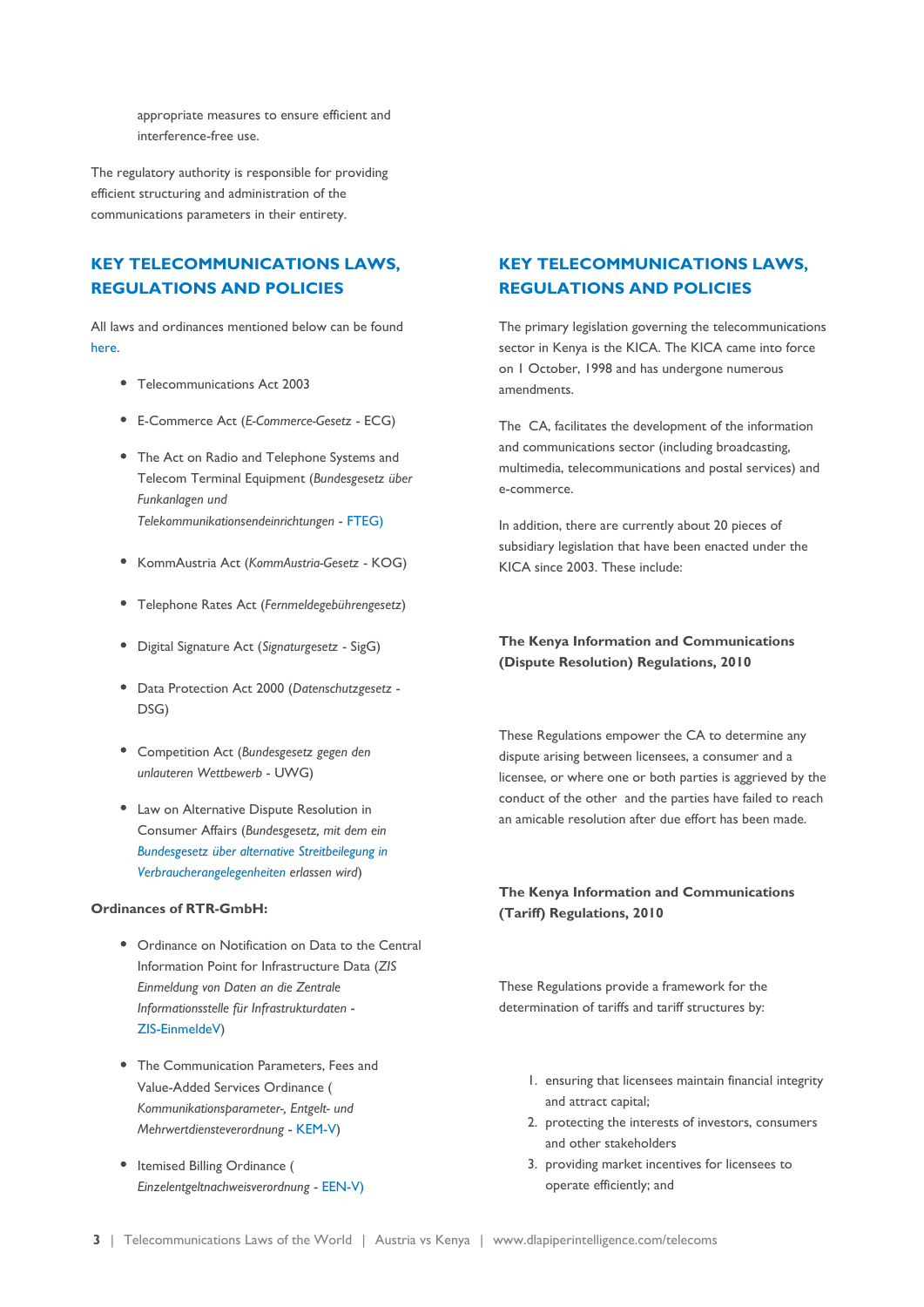appropriate measures to ensure efficient and interference-free use.

The regulatory authority is responsible for providing efficient structuring and administration of the communications parameters in their entirety.

### **KEY TELECOMMUNICATIONS LAWS, REGULATIONS AND POLICIES**

All laws and ordinances mentioned below can be found [here](https://www.rtr.at/de/tk/Recht).

- Telecommunications Act 2003
- E-Commerce Act (*E-Commerce-Gesetz* ECG)
- The Act on Radio and Telephone Systems and Telecom Terminal Equipment (*Bundesgesetz über Funkanlagen und Telekommunikationsendeinrichtungen* - [FTEG\)](https://www.rtr.at/de/tk/WeitereGesetze/2546_FTEG_BGBl_I_Nr_134_2001.pdf)
- KommAustria Act (*KommAustria-Gesetz* KOG)
- Telephone Rates Act (*Fernmeldegebührengesetz*)
- Digital Signature Act (*Signaturgesetz* SigG)
- Data Protection Act 2000 (*Datenschutzgesetz* DSG)
- Competition Act (*Bundesgesetz gegen den unlauteren Wettbewerb* - UWG)
- Law on Alternative Dispute Resolution in Consumer Affairs (*Bundesgesetz, mit dem ein [Bundesgesetz über alternative Streitbeilegung in](https://www.rtr.at/de/tk/WeitereGesetze/AStG_BGBl_2015_I_105.pdf) [Verbraucherangelegenheiten](https://www.rtr.at/de/tk/WeitereGesetze/AStG_BGBl_2015_I_105.pdf) erlassen wird*)

#### **Ordinances of RTR-GmbH:**

- Ordinance on Notification on Data to the Central Information Point for Infrastructure Data (*ZIS Einmeldung von Daten an die Zentrale Informationsstelle für Infrastrukturdaten* - [ZIS-EinmeldeV](https://www.rtr.at/de/tk/ZIS_EinmeldeV))
- The Communication Parameters, Fees and Value-Added Services Ordinance ( *Kommunikationsparameter-, Entgelt- und Mehrwertdiensteverordnung* - [KEM-V\)](https://www.rtr.at/en/tk/KEMV)
- Itemised Billing Ordinance ( *Einzelentgeltnachweisverordnung* - [EEN-V\)](https://www.rtr.at/de/tk/Entgelte)

### **KEY TELECOMMUNICATIONS LAWS, REGULATIONS AND POLICIES**

The primary legislation governing the telecommunications sector in Kenya is the KICA. The KICA came into force on 1 October, 1998 and has undergone numerous amendments.

The CA, facilitates the development of the information and communications sector (including broadcasting, multimedia, telecommunications and postal services) and e-commerce.

In addition, there are currently about 20 pieces of subsidiary legislation that have been enacted under the KICA since 2003. These include:

### **The Kenya Information and Communications (Dispute Resolution) Regulations, 2010**

These Regulations empower the CA to determine any dispute arising between licensees, a consumer and a licensee, or where one or both parties is aggrieved by the conduct of the other and the parties have failed to reach an amicable resolution after due effort has been made.

#### **The Kenya Information and Communications (Tariff) Regulations, 2010**

These Regulations provide a framework for the determination of tariffs and tariff structures by:

- 1. ensuring that licensees maintain financial integrity and attract capital;
- 2. protecting the interests of investors, consumers and other stakeholders
- 3. providing market incentives for licensees to operate efficiently; and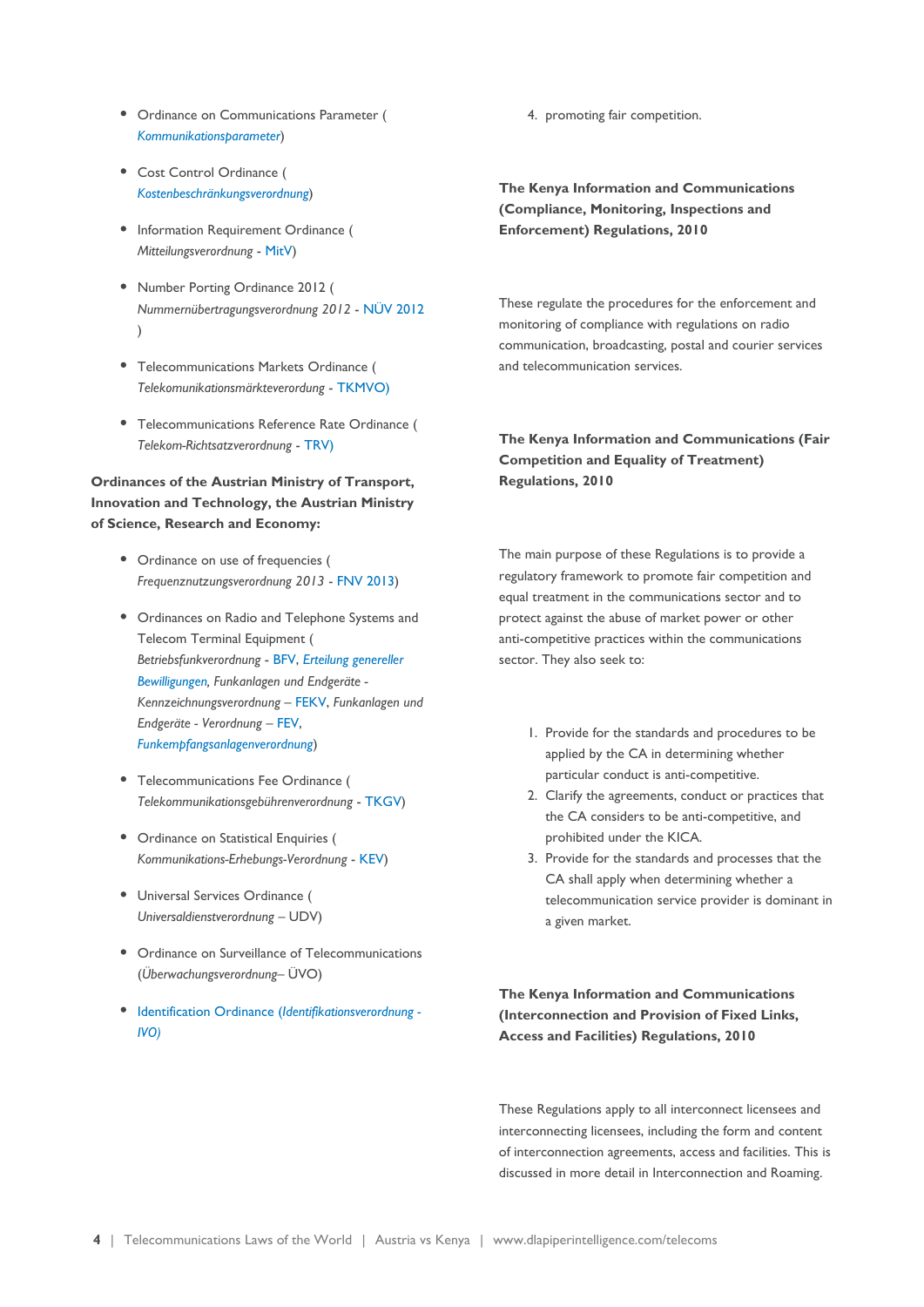- Ordinance on Communications Parameter ( *[Kommunikationsparameter](https://www.rtr.at/de/tk/Kommunikationsparameter)*)
- Cost Control Ordinance ( *[Kostenbeschränkungsverordnung](https://www.rtr.at/de/tk/KostbeV)*)
- Information Requirement Ordinance ( *Mitteilungsverordnung* - [MitV](https://www.rtr.at/de/tk/MitV_2))
- Number Porting Ordinance 2012 ( *Nummernübertragungsverordnung 2012* - [NÜV 2012](https://www.rtr.at/de/tk/NUEV2012_2) )
- Telecommunications Markets Ordinance ( *Telekomunikationsmärkteverordung* - [TKMVO\)](https://www.rtr.at/en/tk/Maerkteverordnungen)
- Telecommunications Reference Rate Ordinance ( *Telekom-Richtsatzverordnung* - [TRV\)](https://www.rtr.at/de/tk/Richtsatz_VO)

### **Ordinances of the Austrian Ministry of Transport, Innovation and Technology, the Austrian Ministry of Science, Research and Economy:**

- Ordinance on use of frequencies ( *Frequenznutzungsverordnung 2013* - [FNV 2013](https://www.ris.bka.gv.at/GeltendeFassung.wxe?Abfrage=Bundesnormen&Gesetzesnummer=20008807&FassungVom=2014-11-10))
- Ordinances on Radio and Telephone Systems and Telecom Terminal Equipment ( *Betriebsfunkverordnung* - [BFV,](https://www.ris.bka.gv.at/GeltendeFassung.wxe?Abfrage=Bundesnormen&Gesetzesnummer=20007644) *[Erteilung genereller](https://www.ris.bka.gv.at/GeltendeFassung.wxe?Abfrage=Bundesnormen&Gesetzesnummer=20008809&FassungVom=2014-11-10) [Bewilligungen,](https://www.ris.bka.gv.at/GeltendeFassung.wxe?Abfrage=Bundesnormen&Gesetzesnummer=20008809&FassungVom=2014-11-10) Funkanlagen und Endgeräte - Kennzeichnungsverordnung* – [FEKV](https://www.ris.bka.gv.at/GeltendeFassung.wxe?Abfrage=Bundesnormen&Gesetzesnummer=10012780), *Funkanlagen und Endgeräte - Verordnung* – [FEV,](https://www.ris.bka.gv.at/GeltendeFassung.wxe?Abfrage=Bundesnormen&Gesetzesnummer=10012780) *[Funkempfangsanlagenverordnung](https://www.ris.bka.gv.at/GeltendeFassung.wxe?Abfrage=Bundesnormen&Gesetzesnummer=10012591)*)
- Telecommunications Fee Ordinance ( *Telekommunikationsgebührenverordnung* - [TKGV\)](http://www.ris.bka.gv.at/GeltendeFassung.wxe?Abfrage=Bundesnormen&Gesetzesnummer=10012777)
- Ordinance on Statistical Enquiries ( *Kommunikations-Erhebungs-Verordnung* - [KEV\)](https://www.rtr.at/de/tk/KEV)
- Universal Services Ordinance ( *Universaldienstverordnung* – UDV)
- Ordinance on Surveillance of Telecommunications (*Überwachungsverordnung*– ÜVO)
- [Identification Ordinance \(](https://www.ris.bka.gv.at/Dokumente/BgblAuth/BGBLA_2019_II_7/BGBLA_2019_II_7.html)*Identifikationsverordnung - [IVO\)](https://www.ris.bka.gv.at/Dokumente/BgblAuth/BGBLA_2019_II_7/BGBLA_2019_II_7.html)*

4. promoting fair competition.

**The Kenya Information and Communications (Compliance, Monitoring, Inspections and Enforcement) Regulations, 2010**

These regulate the procedures for the enforcement and monitoring of compliance with regulations on radio communication, broadcasting, postal and courier services and telecommunication services.

### **The Kenya Information and Communications (Fair Competition and Equality of Treatment) Regulations, 2010**

The main purpose of these Regulations is to provide a regulatory framework to promote fair competition and equal treatment in the communications sector and to protect against the abuse of market power or other anti-competitive practices within the communications sector. They also seek to:

- 1. Provide for the standards and procedures to be applied by the CA in determining whether particular conduct is anti-competitive.
- 2. Clarify the agreements, conduct or practices that the CA considers to be anti-competitive, and prohibited under the KICA.
- 3. Provide for the standards and processes that the CA shall apply when determining whether a telecommunication service provider is dominant in a given market.

**The Kenya Information and Communications (Interconnection and Provision of Fixed Links, Access and Facilities) Regulations, 2010**

These Regulations apply to all interconnect licensees and interconnecting licensees, including the form and content of interconnection agreements, access and facilities. This is discussed in more detail in Interconnection and Roaming.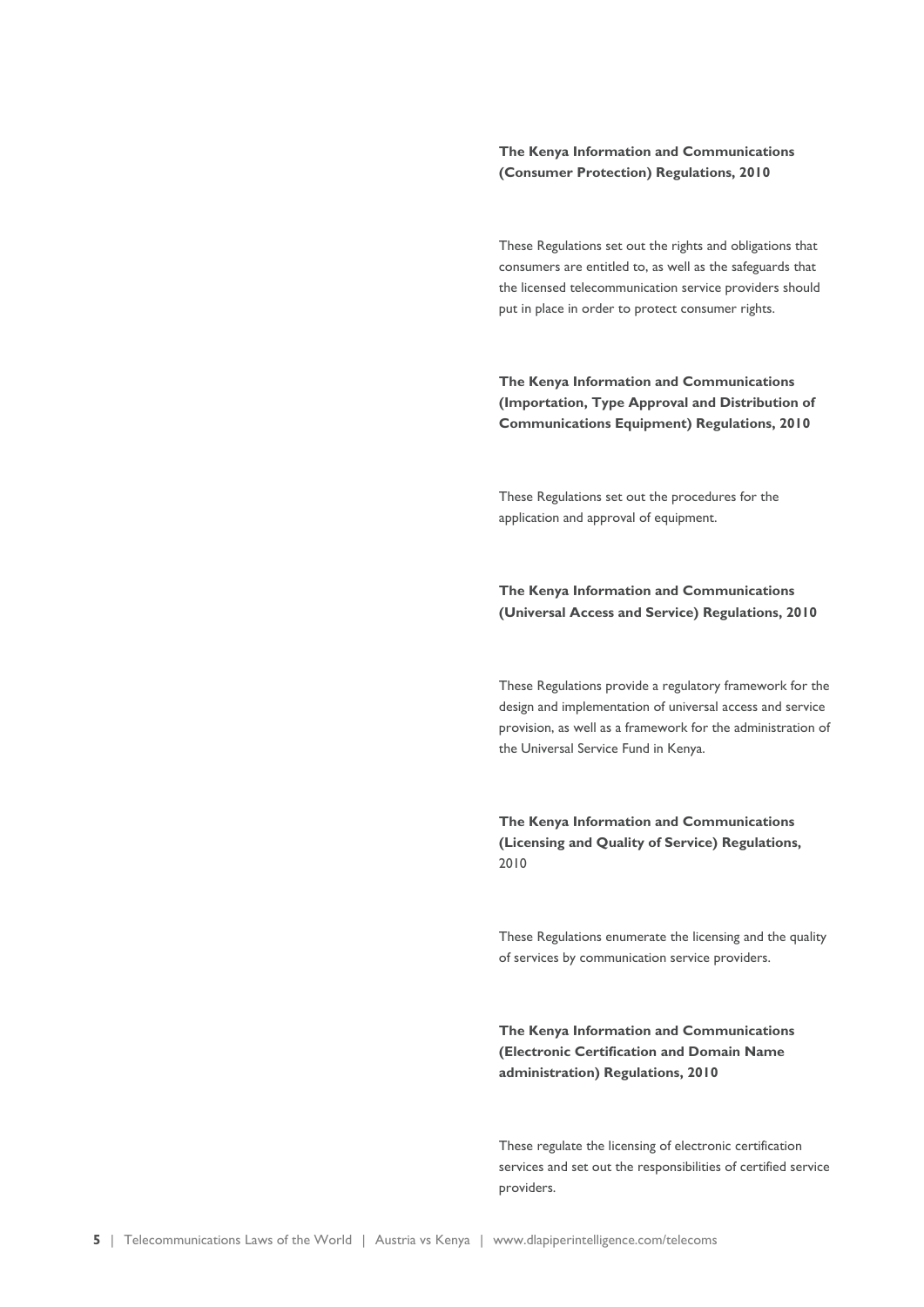#### **The Kenya Information and Communications (Consumer Protection) Regulations, 2010**

These Regulations set out the rights and obligations that consumers are entitled to, as well as the safeguards that the licensed telecommunication service providers should put in place in order to protect consumer rights.

**The Kenya Information and Communications (Importation, Type Approval and Distribution of Communications Equipment) Regulations, 2010**

These Regulations set out the procedures for the application and approval of equipment.

### **The Kenya Information and Communications (Universal Access and Service) Regulations, 2010**

These Regulations provide a regulatory framework for the design and implementation of universal access and service provision, as well as a framework for the administration of the Universal Service Fund in Kenya.

**The Kenya Information and Communications (Licensing and Quality of Service) Regulations,** 2010

These Regulations enumerate the licensing and the quality of services by communication service providers.

### **The Kenya Information and Communications (Electronic Certification and Domain Name administration) Regulations, 2010**

These regulate the licensing of electronic certification services and set out the responsibilities of certified service providers.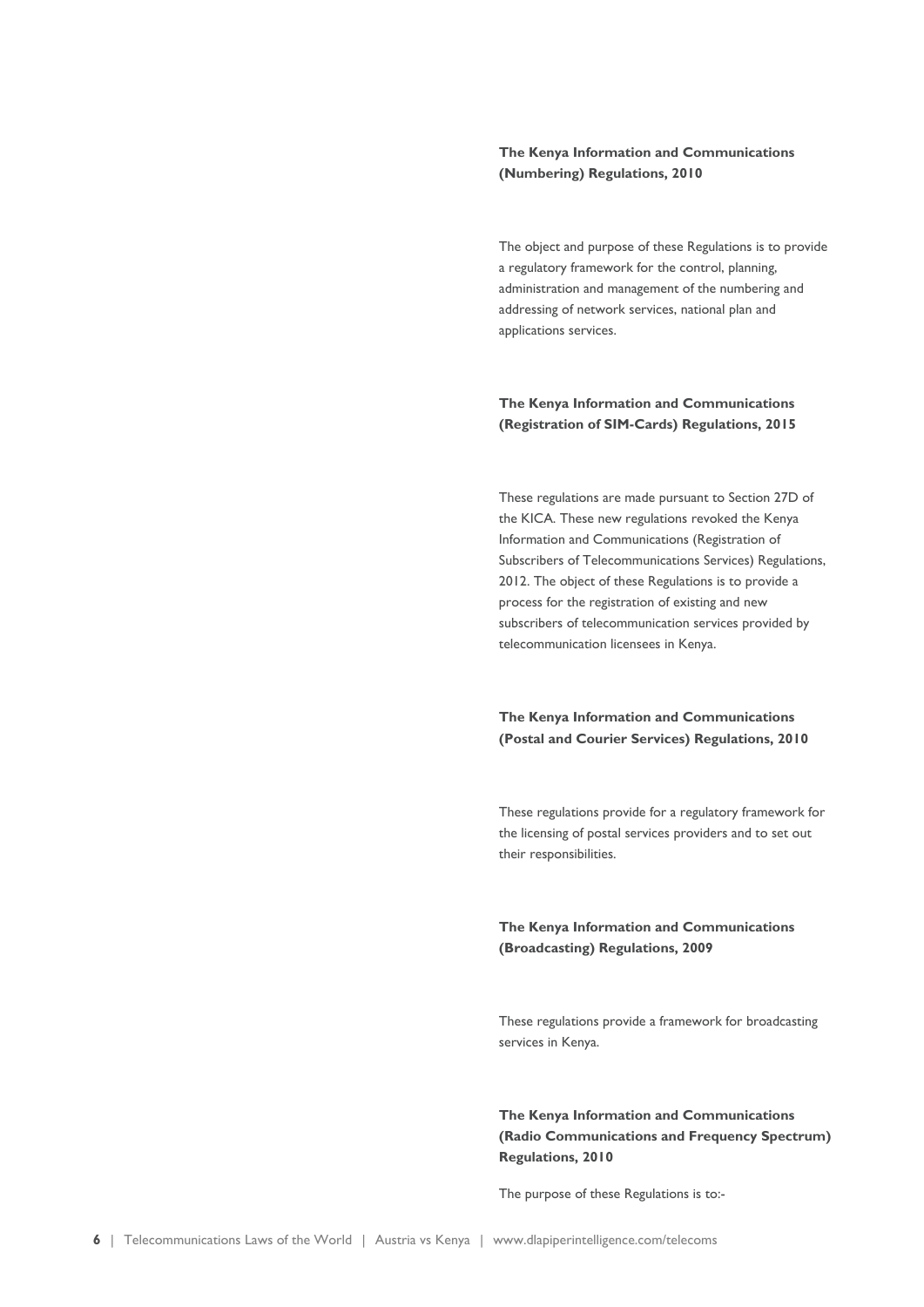#### **The Kenya Information and Communications (Numbering) Regulations, 2010**

The object and purpose of these Regulations is to provide a regulatory framework for the control, planning, administration and management of the numbering and addressing of network services, national plan and applications services.

#### **The Kenya Information and Communications (Registration of SIM-Cards) Regulations, 2015**

These regulations are made pursuant to Section 27D of the KICA. These new regulations revoked the Kenya Information and Communications (Registration of Subscribers of Telecommunications Services) Regulations, 2012. The object of these Regulations is to provide a process for the registration of existing and new subscribers of telecommunication services provided by telecommunication licensees in Kenya.

#### **The Kenya Information and Communications (Postal and Courier Services) Regulations, 2010**

These regulations provide for a regulatory framework for the licensing of postal services providers and to set out their responsibilities.

### **The Kenya Information and Communications (Broadcasting) Regulations, 2009**

These regulations provide a framework for broadcasting services in Kenya.

**The Kenya Information and Communications (Radio Communications and Frequency Spectrum) Regulations, 2010**

The purpose of these Regulations is to:-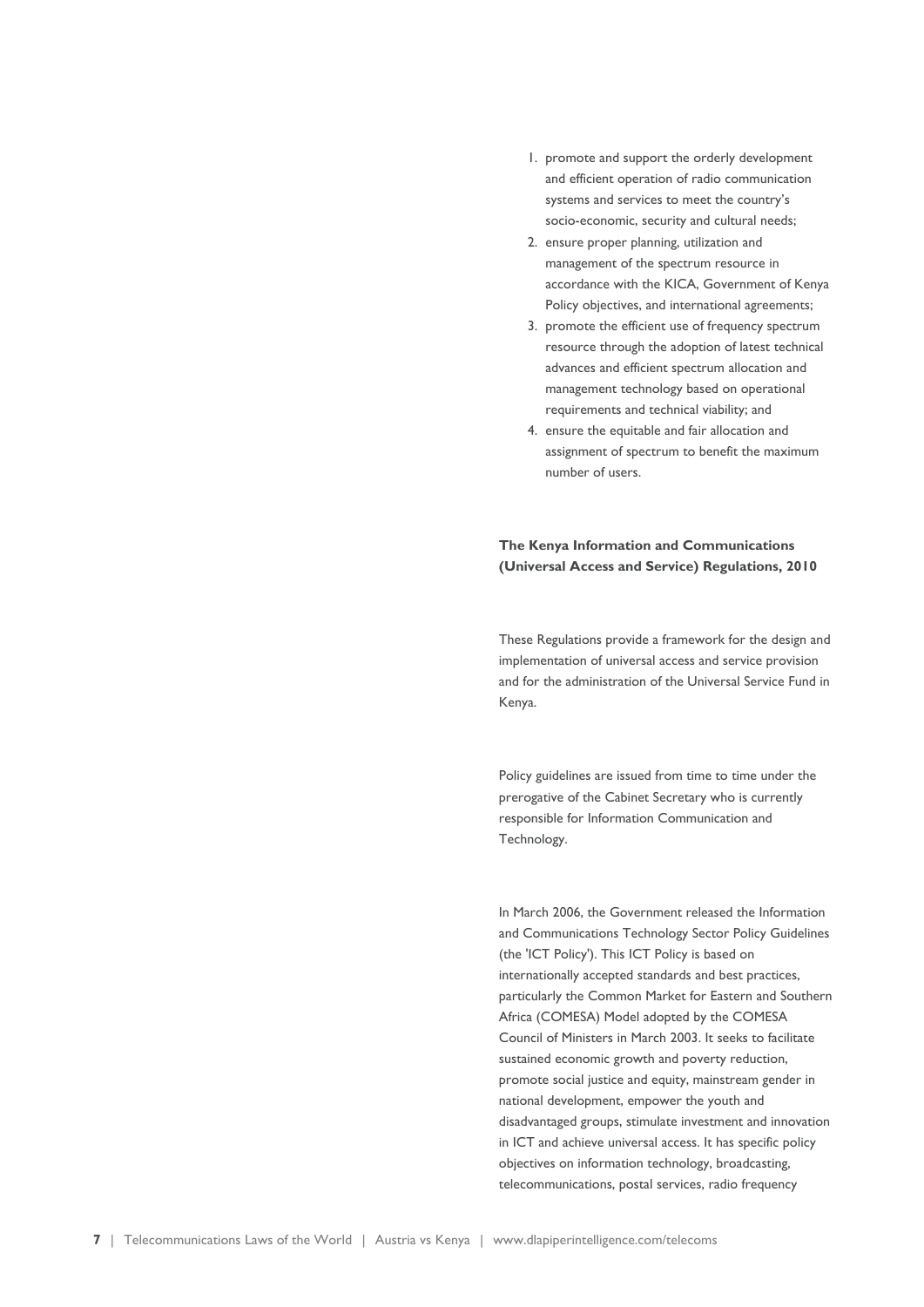- 1. promote and support the orderly development and efficient operation of radio communication systems and services to meet the country's socio-economic, security and cultural needs;
- 2. ensure proper planning, utilization and management of the spectrum resource in accordance with the KICA, Government of Kenya Policy objectives, and international agreements;
- 3. promote the efficient use of frequency spectrum resource through the adoption of latest technical advances and efficient spectrum allocation and management technology based on operational requirements and technical viability; and
- 4. ensure the equitable and fair allocation and assignment of spectrum to benefit the maximum number of users.

#### **The Kenya Information and Communications (Universal Access and Service) Regulations, 2010**

These Regulations provide a framework for the design and implementation of universal access and service provision and for the administration of the Universal Service Fund in Kenya.

Policy guidelines are issued from time to time under the prerogative of the Cabinet Secretary who is currently responsible for Information Communication and Technology.

In March 2006, the Government released the Information and Communications Technology Sector Policy Guidelines (the 'ICT Policy'). This ICT Policy is based on internationally accepted standards and best practices, particularly the Common Market for Eastern and Southern Africa (COMESA) Model adopted by the COMESA Council of Ministers in March 2003. It seeks to facilitate sustained economic growth and poverty reduction, promote social justice and equity, mainstream gender in national development, empower the youth and disadvantaged groups, stimulate investment and innovation in ICT and achieve universal access. It has specific policy objectives on information technology, broadcasting, telecommunications, postal services, radio frequency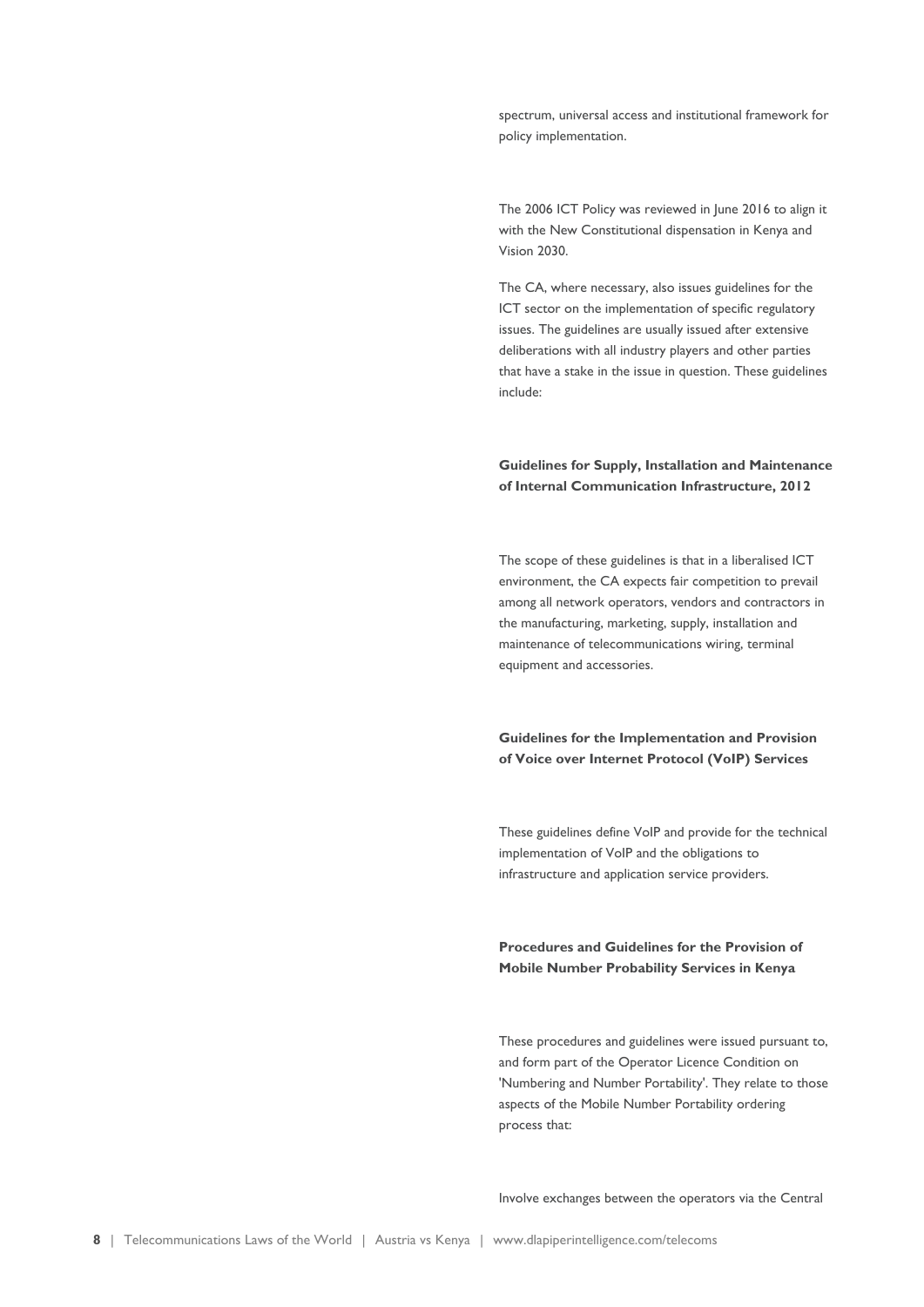spectrum, universal access and institutional framework for policy implementation.

The 2006 ICT Policy was reviewed in June 2016 to align it with the New Constitutional dispensation in Kenya and Vision 2030.

The CA, where necessary, also issues guidelines for the ICT sector on the implementation of specific regulatory issues. The guidelines are usually issued after extensive deliberations with all industry players and other parties that have a stake in the issue in question. These guidelines include:

#### **Guidelines for Supply, Installation and Maintenance of Internal Communication Infrastructure, 2012**

The scope of these guidelines is that in a liberalised ICT environment, the CA expects fair competition to prevail among all network operators, vendors and contractors in the manufacturing, marketing, supply, installation and maintenance of telecommunications wiring, terminal equipment and accessories.

**Guidelines for the Implementation and Provision of Voice over Internet Protocol (VoIP) Services**

These guidelines define VoIP and provide for the technical implementation of VoIP and the obligations to infrastructure and application service providers.

### **Procedures and Guidelines for the Provision of Mobile Number Probability Services in Kenya**

These procedures and guidelines were issued pursuant to, and form part of the Operator Licence Condition on 'Numbering and Number Portability'. They relate to those aspects of the Mobile Number Portability ordering process that:

Involve exchanges between the operators via the Central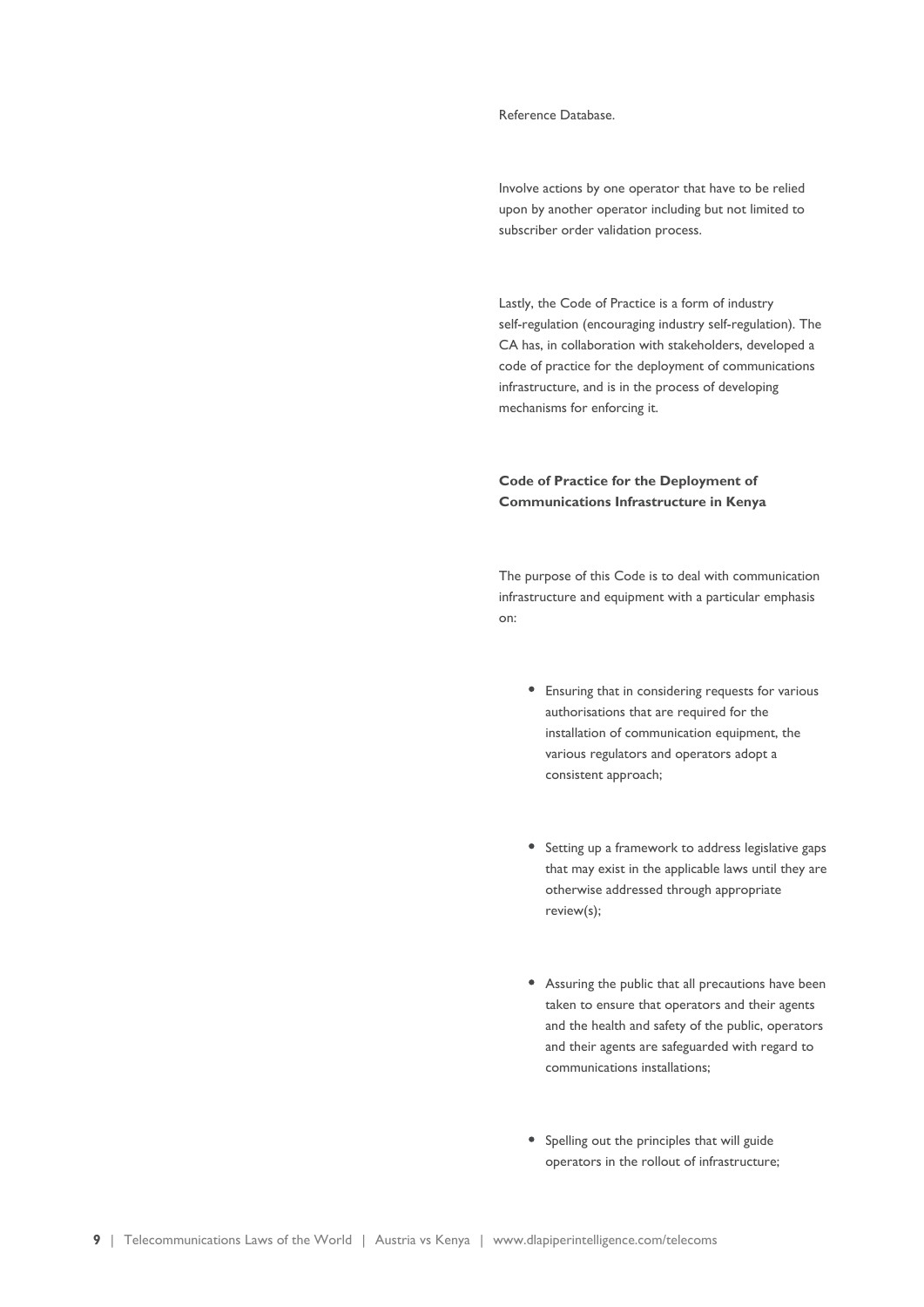#### Reference Database.

Involve actions by one operator that have to be relied upon by another operator including but not limited to subscriber order validation process.

Lastly, the Code of Practice is a form of industry self-regulation (encouraging industry self-regulation). The CA has, in collaboration with stakeholders, developed a code of practice for the deployment of communications infrastructure, and is in the process of developing mechanisms for enforcing it.

### **Code of Practice for the Deployment of Communications Infrastructure in Kenya**

The purpose of this Code is to deal with communication infrastructure and equipment with a particular emphasis on:

- Ensuring that in considering requests for various authorisations that are required for the installation of communication equipment, the various regulators and operators adopt a consistent approach;
- Setting up a framework to address legislative gaps that may exist in the applicable laws until they are otherwise addressed through appropriate review(s);
- Assuring the public that all precautions have been taken to ensure that operators and their agents and the health and safety of the public, operators and their agents are safeguarded with regard to communications installations;
- Spelling out the principles that will guide operators in the rollout of infrastructure;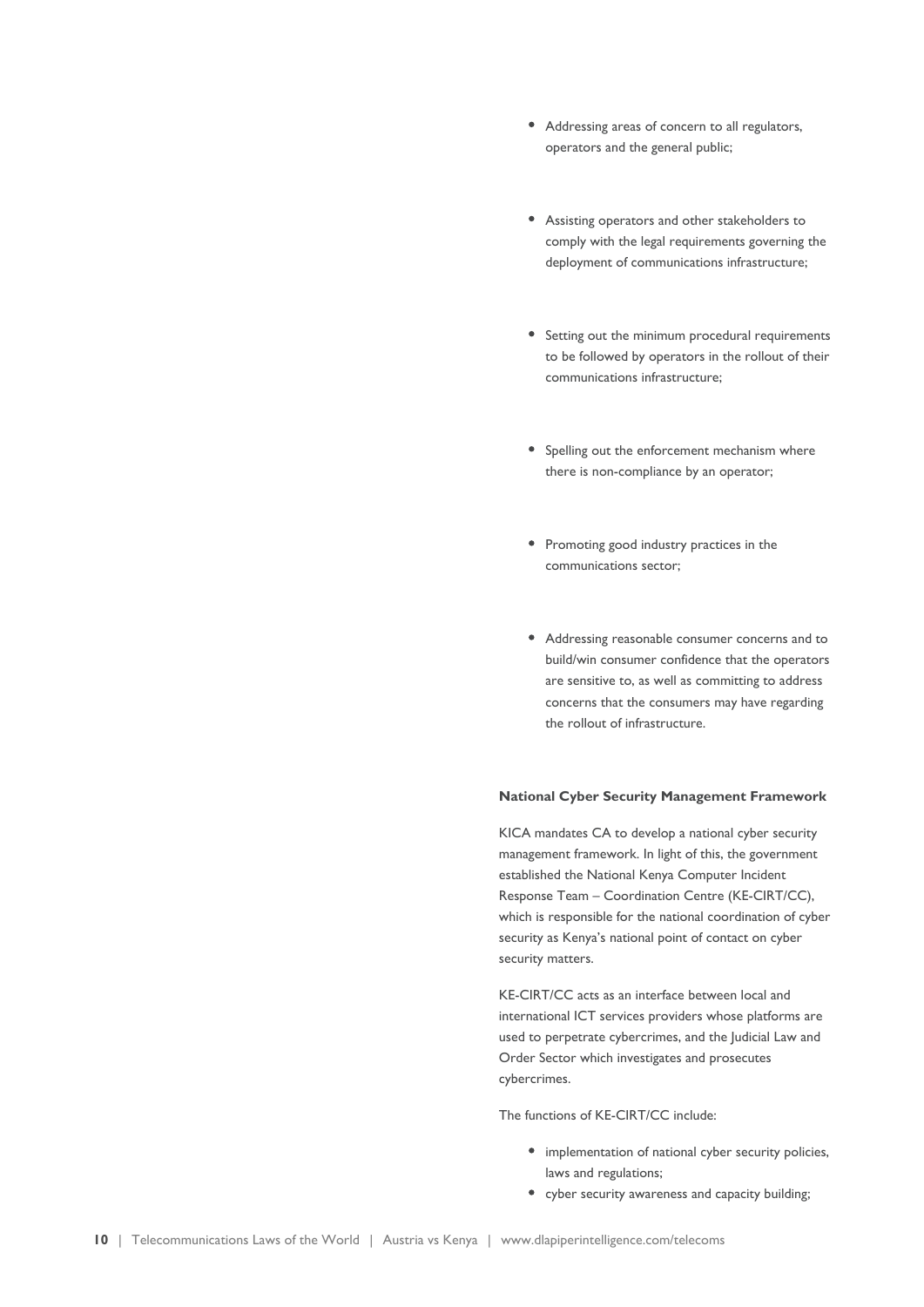- Addressing areas of concern to all regulators, operators and the general public;
- Assisting operators and other stakeholders to comply with the legal requirements governing the deployment of communications infrastructure;
- Setting out the minimum procedural requirements to be followed by operators in the rollout of their communications infrastructure;
- Spelling out the enforcement mechanism where there is non-compliance by an operator;
- Promoting good industry practices in the communications sector;
- Addressing reasonable consumer concerns and to build/win consumer confidence that the operators are sensitive to, as well as committing to address concerns that the consumers may have regarding the rollout of infrastructure.

#### **National Cyber Security Management Framework**

KICA mandates CA to develop a national cyber security management framework. In light of this, the government established the National Kenya Computer Incident Response Team – Coordination Centre (KE-CIRT/CC), which is responsible for the national coordination of cyber security as Kenya's national point of contact on cyber security matters.

KE-CIRT/CC acts as an interface between local and international ICT services providers whose platforms are used to perpetrate cybercrimes, and the Judicial Law and Order Sector which investigates and prosecutes cybercrimes.

The functions of KE-CIRT/CC include:

- implementation of national cyber security policies, laws and regulations;
- cyber security awareness and capacity building;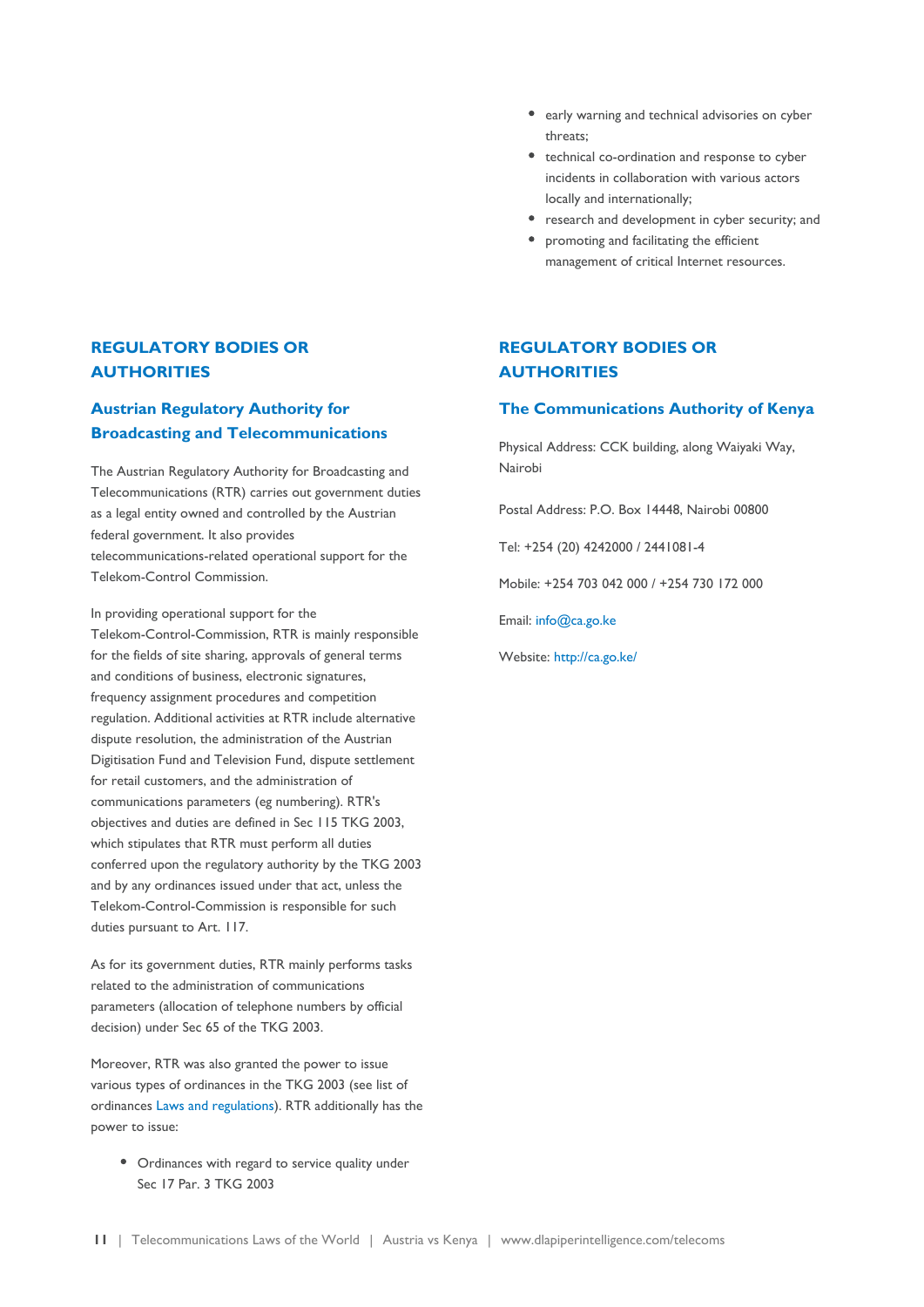### **REGULATORY BODIES OR AUTHORITIES**

### **Austrian Regulatory Authority for Broadcasting and Telecommunications**

The Austrian Regulatory Authority for Broadcasting and Telecommunications (RTR) carries out government duties as a legal entity owned and controlled by the Austrian federal government. It also provides telecommunications-related operational support for the Telekom-Control Commission.

In providing operational support for the Telekom-Control-Commission, RTR is mainly responsible for the fields of site sharing, approvals of general terms and conditions of business, electronic signatures, frequency assignment procedures and competition regulation. Additional activities at RTR include alternative dispute resolution, the administration of the Austrian Digitisation Fund and Television Fund, dispute settlement for retail customers, and the administration of communications parameters (eg numbering). RTR's objectives and duties are defined in Sec 115 TKG 2003, which stipulates that RTR must perform all duties conferred upon the regulatory authority by the TKG 2003 and by any ordinances issued under that act, unless the Telekom-Control-Commission is responsible for such duties pursuant to Art. 117.

As for its government duties, RTR mainly performs tasks related to the administration of communications parameters (allocation of telephone numbers by official decision) under Sec 65 of the TKG 2003.

Moreover, RTR was also granted the power to issue various types of ordinances in the TKG 2003 (see list of ordinances [Laws and regulations\)](https://www.dlapiperintelligence.com/telecoms/telecoms/countries/austria/laws.html). RTR additionally has the power to issue:

• Ordinances with regard to service quality under Sec 17 Par. 3 TKG 2003

- early warning and technical advisories on cyber threats;
- technical co-ordination and response to cyber incidents in collaboration with various actors locally and internationally;
- research and development in cyber security; and
- promoting and facilitating the efficient management of critical Internet resources.

### **REGULATORY BODIES OR AUTHORITIES**

#### **The Communications Authority of Kenya**

Physical Address: CCK building, along Waiyaki Way, Nairobi

Postal Address: P.O. Box 14448, Nairobi 00800

Tel: +254 (20) 4242000 / 2441081-4

Mobile: +254 703 042 000 / +254 730 172 000

Email: info@ca.go.ke

Website: <http://ca.go.ke/>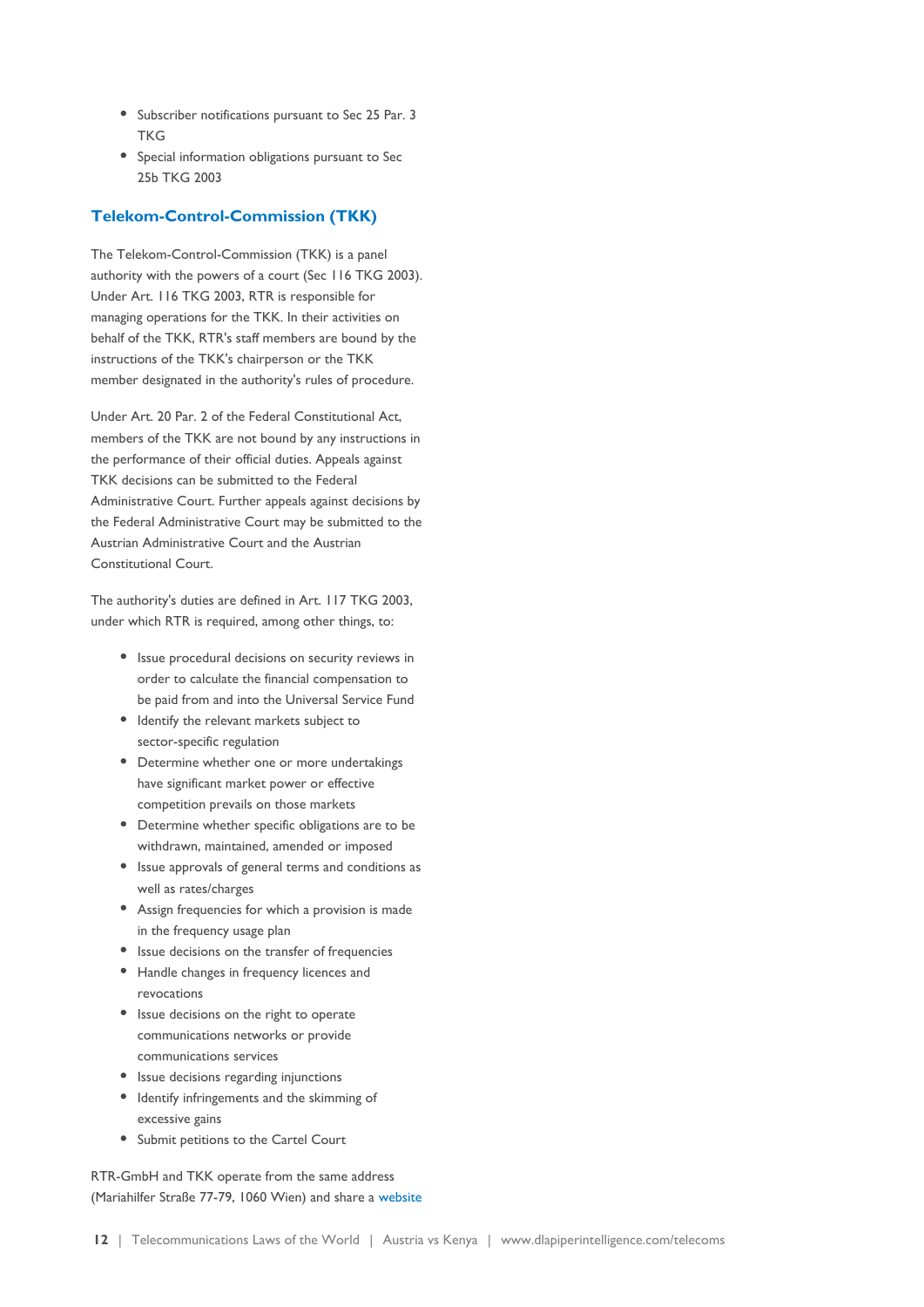- Subscriber notifications pursuant to Sec 25 Par. 3 **TKG**
- Special information obligations pursuant to Sec 25b TKG 2003

#### **Telekom-Control-Commission (TKK)**

The Telekom-Control-Commission (TKK) is a panel authority with the powers of a court (Sec 116 TKG 2003). Under Art. 116 TKG 2003, RTR is responsible for managing operations for the TKK. In their activities on behalf of the TKK, RTR's staff members are bound by the instructions of the TKK's chairperson or the TKK member designated in the authority's rules of procedure.

Under Art. 20 Par. 2 of the Federal Constitutional Act, members of the TKK are not bound by any instructions in the performance of their official duties. Appeals against TKK decisions can be submitted to the Federal Administrative Court. Further appeals against decisions by the Federal Administrative Court may be submitted to the Austrian Administrative Court and the Austrian Constitutional Court.

The authority's duties are defined in Art. 117 TKG 2003, under which RTR is required, among other things, to:

- Issue procedural decisions on security reviews in order to calculate the financial compensation to be paid from and into the Universal Service Fund
- Identify the relevant markets subject to sector-specific regulation
- Determine whether one or more undertakings have significant market power or effective competition prevails on those markets
- Determine whether specific obligations are to be withdrawn, maintained, amended or imposed
- Issue approvals of general terms and conditions as well as rates/charges
- Assign frequencies for which a provision is made in the frequency usage plan
- Issue decisions on the transfer of frequencies
- Handle changes in frequency licences and revocations
- Issue decisions on the right to operate communications networks or provide communications services
- Issue decisions regarding injunctions
- Identify infringements and the skimming of excessive gains
- Submit petitions to the Cartel Court

RTR-GmbH and TKK operate from the same address (Mariahilfer Straße 77-79, 1060 Wien) and share a [website](http://www.rtr.at/)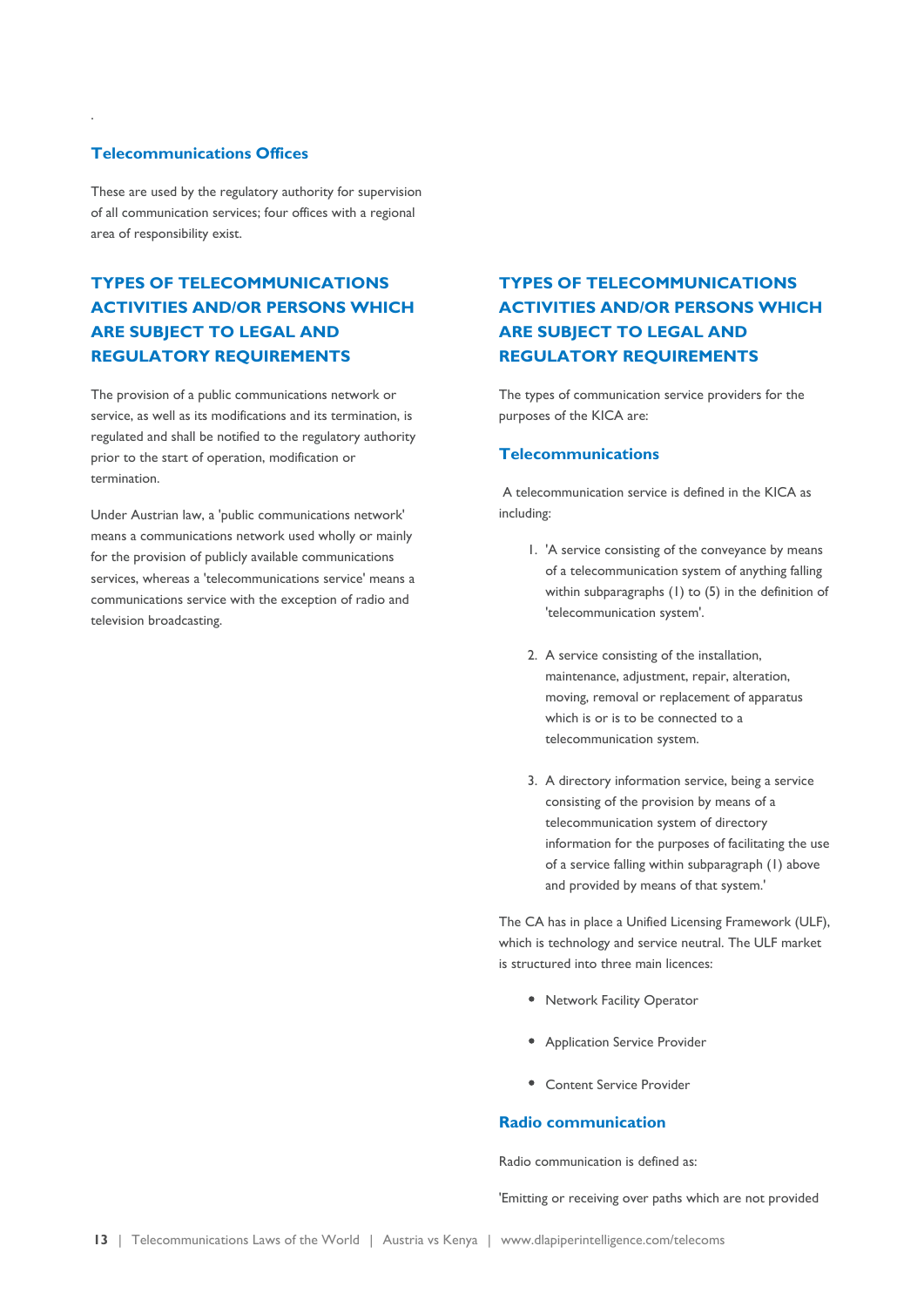#### **Telecommunications Offices**

.

These are used by the regulatory authority for supervision of all communication services; four offices with a regional area of responsibility exist.

### **TYPES OF TELECOMMUNICATIONS ACTIVITIES AND/OR PERSONS WHICH ARE SUBJECT TO LEGAL AND REGULATORY REQUIREMENTS**

The provision of a public communications network or service, as well as its modifications and its termination, is regulated and shall be notified to the regulatory authority prior to the start of operation, modification or termination.

Under Austrian law, a 'public communications network' means a communications network used wholly or mainly for the provision of publicly available communications services, whereas a 'telecommunications service' means a communications service with the exception of radio and television broadcasting.

### **TYPES OF TELECOMMUNICATIONS ACTIVITIES AND/OR PERSONS WHICH ARE SUBJECT TO LEGAL AND REGULATORY REQUIREMENTS**

The types of communication service providers for the purposes of the KICA are:

#### **Telecommunications**

 A telecommunication service is defined in the KICA as including:

- 1. 'A service consisting of the conveyance by means of a telecommunication system of anything falling within subparagraphs (1) to (5) in the definition of 'telecommunication system'.
- 2. A service consisting of the installation, maintenance, adjustment, repair, alteration, moving, removal or replacement of apparatus which is or is to be connected to a telecommunication system.
- 3. A directory information service, being a service consisting of the provision by means of a telecommunication system of directory information for the purposes of facilitating the use of a service falling within subparagraph (1) above and provided by means of that system.'

The CA has in place a Unified Licensing Framework (ULF), which is technology and service neutral. The ULF market is structured into three main licences:

- Network Facility Operator
- Application Service Provider
- Content Service Provider

### **Radio communication**

Radio communication is defined as:

'Emitting or receiving over paths which are not provided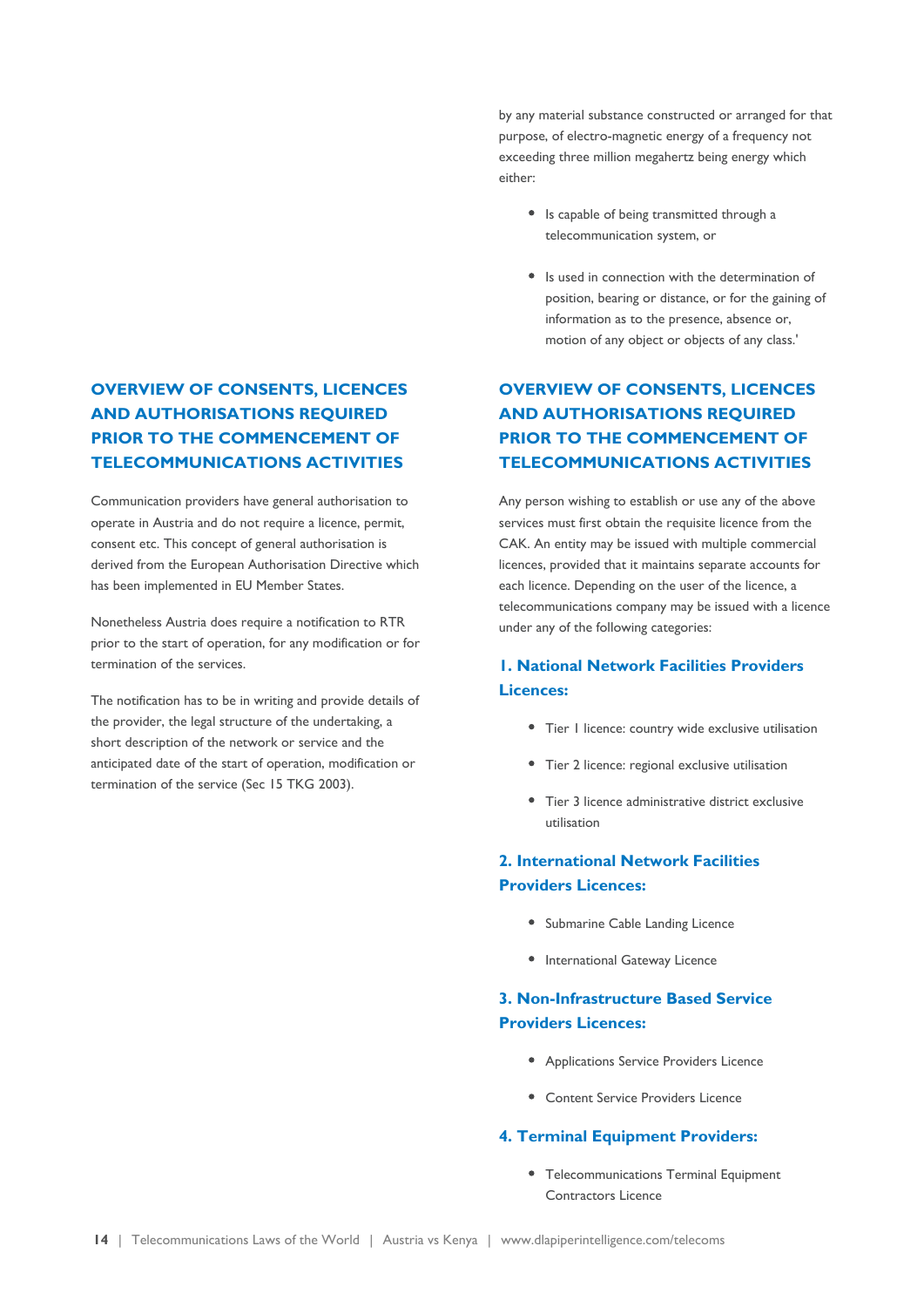### **OVERVIEW OF CONSENTS, LICENCES AND AUTHORISATIONS REQUIRED PRIOR TO THE COMMENCEMENT OF TELECOMMUNICATIONS ACTIVITIES**

Communication providers have general authorisation to operate in Austria and do not require a licence, permit, consent etc. This concept of general authorisation is derived from the European Authorisation Directive which has been implemented in EU Member States.

Nonetheless Austria does require a notification to RTR prior to the start of operation, for any modification or for termination of the services.

The notification has to be in writing and provide details of the provider, the legal structure of the undertaking, a short description of the network or service and the anticipated date of the start of operation, modification or termination of the service (Sec 15 TKG 2003).

by any material substance constructed or arranged for that purpose, of electro-magnetic energy of a frequency not exceeding three million megahertz being energy which either:

- Is capable of being transmitted through a telecommunication system, or
- Is used in connection with the determination of position, bearing or distance, or for the gaining of information as to the presence, absence or, motion of any object or objects of any class.'

### **OVERVIEW OF CONSENTS, LICENCES AND AUTHORISATIONS REQUIRED PRIOR TO THE COMMENCEMENT OF TELECOMMUNICATIONS ACTIVITIES**

Any person wishing to establish or use any of the above services must first obtain the requisite licence from the CAK. An entity may be issued with multiple commercial licences, provided that it maintains separate accounts for each licence. Depending on the user of the licence, a telecommunications company may be issued with a licence under any of the following categories:

### **1. National Network Facilities Providers Licences:**

- Tier I licence: country wide exclusive utilisation
- Tier 2 licence: regional exclusive utilisation
- Tier 3 licence administrative district exclusive utilisation

### **2. International Network Facilities Providers Licences:**

- Submarine Cable Landing Licence
- International Gateway Licence

### **3. Non-Infrastructure Based Service Providers Licences:**

- Applications Service Providers Licence
- Content Service Providers Licence

### **4. Terminal Equipment Providers:**

Telecommunications Terminal Equipment Contractors Licence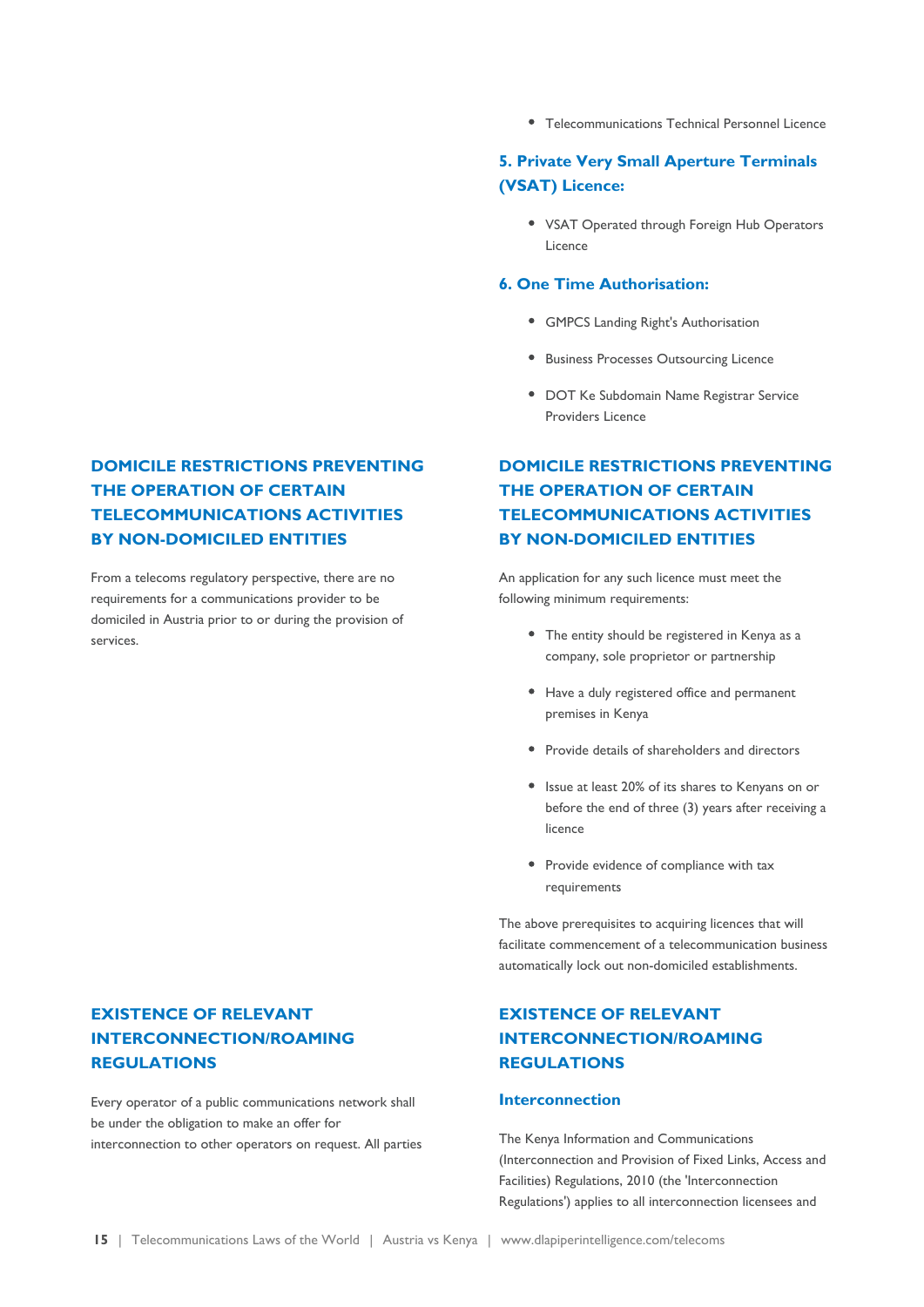**DOMICILE RESTRICTIONS PREVENTING THE OPERATION OF CERTAIN TELECOMMUNICATIONS ACTIVITIES BY NON-DOMICILED ENTITIES**

From a telecoms regulatory perspective, there are no requirements for a communications provider to be domiciled in Austria prior to or during the provision of services.

### **EXISTENCE OF RELEVANT INTERCONNECTION/ROAMING REGULATIONS**

Every operator of a public communications network shall be under the obligation to make an offer for interconnection to other operators on request. All parties Telecommunications Technical Personnel Licence

### **5. Private Very Small Aperture Terminals (VSAT) Licence:**

• VSAT Operated through Foreign Hub Operators Licence

#### **6. One Time Authorisation:**

- GMPCS Landing Right's Authorisation
- **Business Processes Outsourcing Licence**
- DOT Ke Subdomain Name Registrar Service Providers Licence

### **DOMICILE RESTRICTIONS PREVENTING THE OPERATION OF CERTAIN TELECOMMUNICATIONS ACTIVITIES BY NON-DOMICILED ENTITIES**

An application for any such licence must meet the following minimum requirements:

- The entity should be registered in Kenya as a company, sole proprietor or partnership
- Have a duly registered office and permanent premises in Kenya
- Provide details of shareholders and directors
- Issue at least 20% of its shares to Kenyans on or before the end of three (3) years after receiving a licence
- Provide evidence of compliance with tax requirements

The above prerequisites to acquiring licences that will facilitate commencement of a telecommunication business automatically lock out non-domiciled establishments.

### **EXISTENCE OF RELEVANT INTERCONNECTION/ROAMING REGULATIONS**

#### **Interconnection**

The Kenya Information and Communications (Interconnection and Provision of Fixed Links, Access and Facilities) Regulations, 2010 (the 'Interconnection Regulations') applies to all interconnection licensees and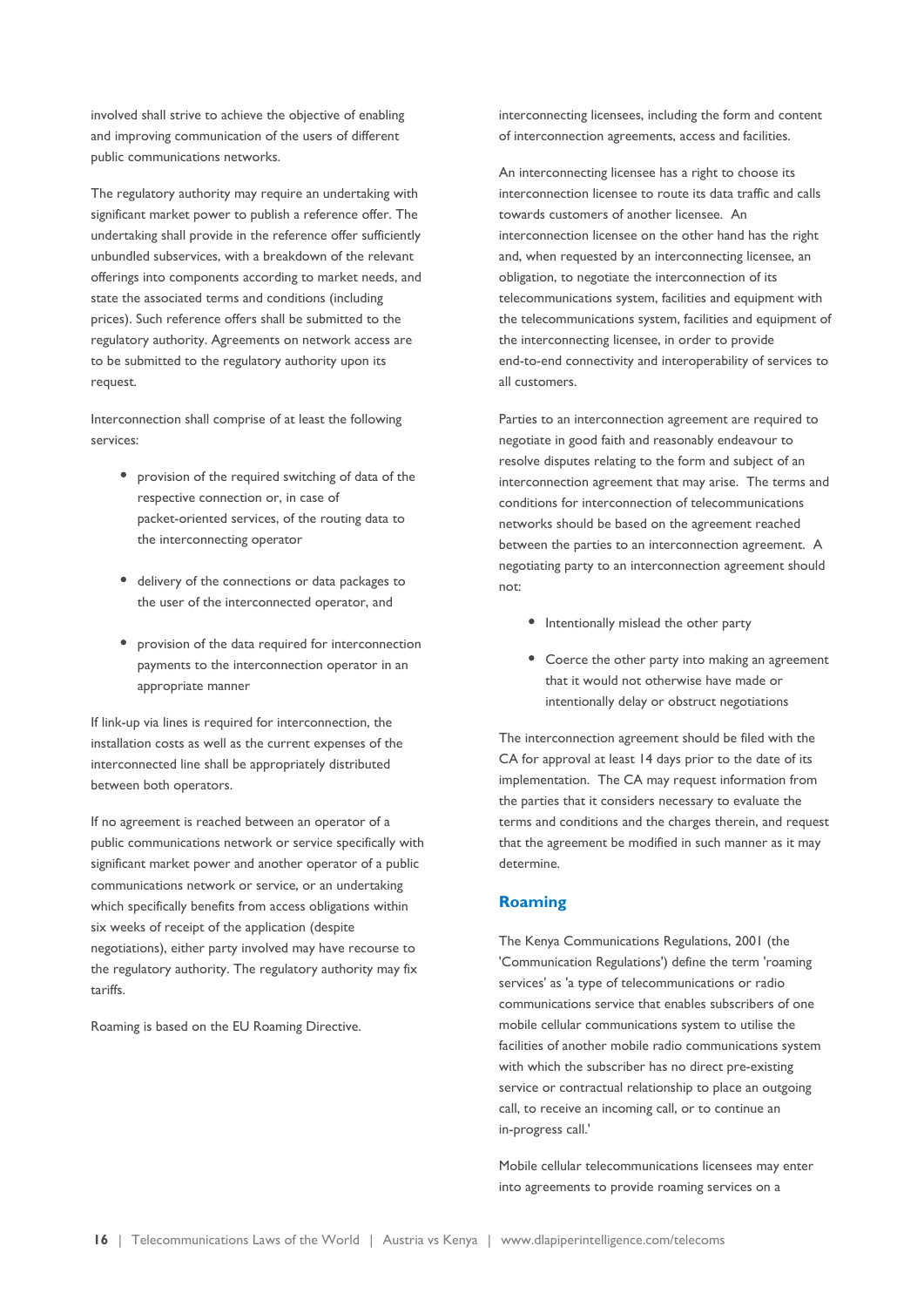involved shall strive to achieve the objective of enabling and improving communication of the users of different public communications networks.

The regulatory authority may require an undertaking with significant market power to publish a reference offer. The undertaking shall provide in the reference offer sufficiently unbundled subservices, with a breakdown of the relevant offerings into components according to market needs, and state the associated terms and conditions (including prices). Such reference offers shall be submitted to the regulatory authority. Agreements on network access are to be submitted to the regulatory authority upon its request.

Interconnection shall comprise of at least the following services:

- provision of the required switching of data of the respective connection or, in case of packet-oriented services, of the routing data to the interconnecting operator
- delivery of the connections or data packages to the user of the interconnected operator, and
- provision of the data required for interconnection payments to the interconnection operator in an appropriate manner

If link-up via lines is required for interconnection, the installation costs as well as the current expenses of the interconnected line shall be appropriately distributed between both operators.

If no agreement is reached between an operator of a public communications network or service specifically with significant market power and another operator of a public communications network or service, or an undertaking which specifically benefits from access obligations within six weeks of receipt of the application (despite negotiations), either party involved may have recourse to the regulatory authority. The regulatory authority may fix tariffs.

Roaming is based on the EU Roaming Directive.

interconnecting licensees, including the form and content of interconnection agreements, access and facilities.

An interconnecting licensee has a right to choose its interconnection licensee to route its data traffic and calls towards customers of another licensee. An interconnection licensee on the other hand has the right and, when requested by an interconnecting licensee, an obligation, to negotiate the interconnection of its telecommunications system, facilities and equipment with the telecommunications system, facilities and equipment of the interconnecting licensee, in order to provide end-to-end connectivity and interoperability of services to all customers.

Parties to an interconnection agreement are required to negotiate in good faith and reasonably endeavour to resolve disputes relating to the form and subject of an interconnection agreement that may arise. The terms and conditions for interconnection of telecommunications networks should be based on the agreement reached between the parties to an interconnection agreement. A negotiating party to an interconnection agreement should not:

- Intentionally mislead the other party
- Coerce the other party into making an agreement that it would not otherwise have made or intentionally delay or obstruct negotiations

The interconnection agreement should be filed with the CA for approval at least 14 days prior to the date of its implementation. The CA may request information from the parties that it considers necessary to evaluate the terms and conditions and the charges therein, and request that the agreement be modified in such manner as it may determine.

### **Roaming**

The Kenya Communications Regulations, 2001 (the 'Communication Regulations') define the term 'roaming services' as 'a type of telecommunications or radio communications service that enables subscribers of one mobile cellular communications system to utilise the facilities of another mobile radio communications system with which the subscriber has no direct pre-existing service or contractual relationship to place an outgoing call, to receive an incoming call, or to continue an in-progress call.'

Mobile cellular telecommunications licensees may enter into agreements to provide roaming services on a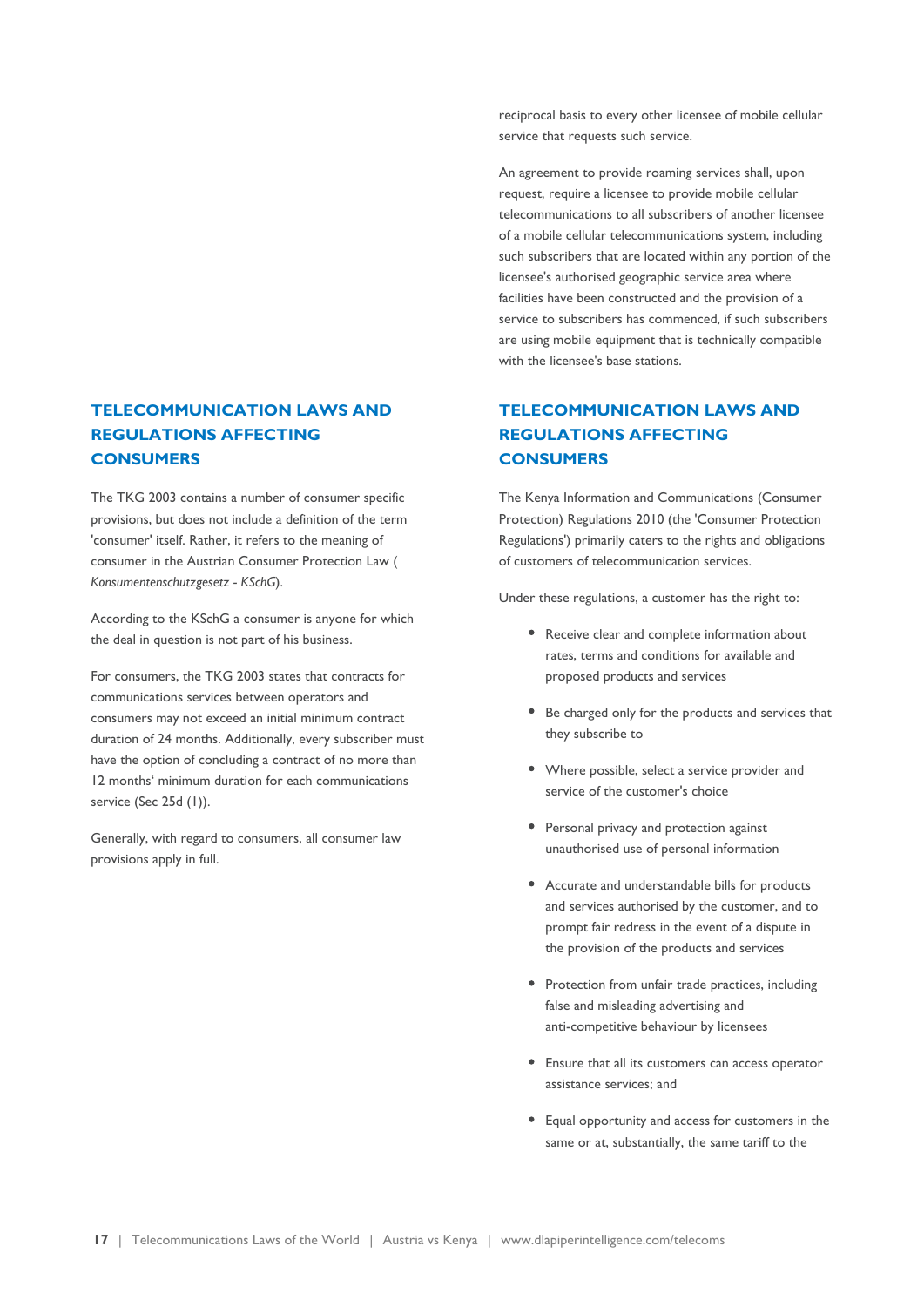### **TELECOMMUNICATION LAWS AND REGULATIONS AFFECTING CONSUMERS**

The TKG 2003 contains a number of consumer specific provisions, but does not include a definition of the term 'consumer' itself. Rather, it refers to the meaning of consumer in the Austrian Consumer Protection Law ( *Konsumentenschutzgesetz - KSchG*).

According to the KSchG a consumer is anyone for which the deal in question is not part of his business.

For consumers, the TKG 2003 states that contracts for communications services between operators and consumers may not exceed an initial minimum contract duration of 24 months. Additionally, every subscriber must have the option of concluding a contract of no more than 12 months' minimum duration for each communications service (Sec 25d (1)).

Generally, with regard to consumers, all consumer law provisions apply in full.

reciprocal basis to every other licensee of mobile cellular service that requests such service.

An agreement to provide roaming services shall, upon request, require a licensee to provide mobile cellular telecommunications to all subscribers of another licensee of a mobile cellular telecommunications system, including such subscribers that are located within any portion of the licensee's authorised geographic service area where facilities have been constructed and the provision of a service to subscribers has commenced, if such subscribers are using mobile equipment that is technically compatible with the licensee's base stations.

### **TELECOMMUNICATION LAWS AND REGULATIONS AFFECTING CONSUMERS**

The Kenya Information and Communications (Consumer Protection) Regulations 2010 (the 'Consumer Protection Regulations') primarily caters to the rights and obligations of customers of telecommunication services.

Under these regulations, a customer has the right to:

- Receive clear and complete information about rates, terms and conditions for available and proposed products and services
- Be charged only for the products and services that they subscribe to
- Where possible, select a service provider and service of the customer's choice
- Personal privacy and protection against unauthorised use of personal information
- Accurate and understandable bills for products and services authorised by the customer, and to prompt fair redress in the event of a dispute in the provision of the products and services
- Protection from unfair trade practices, including false and misleading advertising and anti-competitive behaviour by licensees
- Ensure that all its customers can access operator assistance services; and
- Equal opportunity and access for customers in the same or at, substantially, the same tariff to the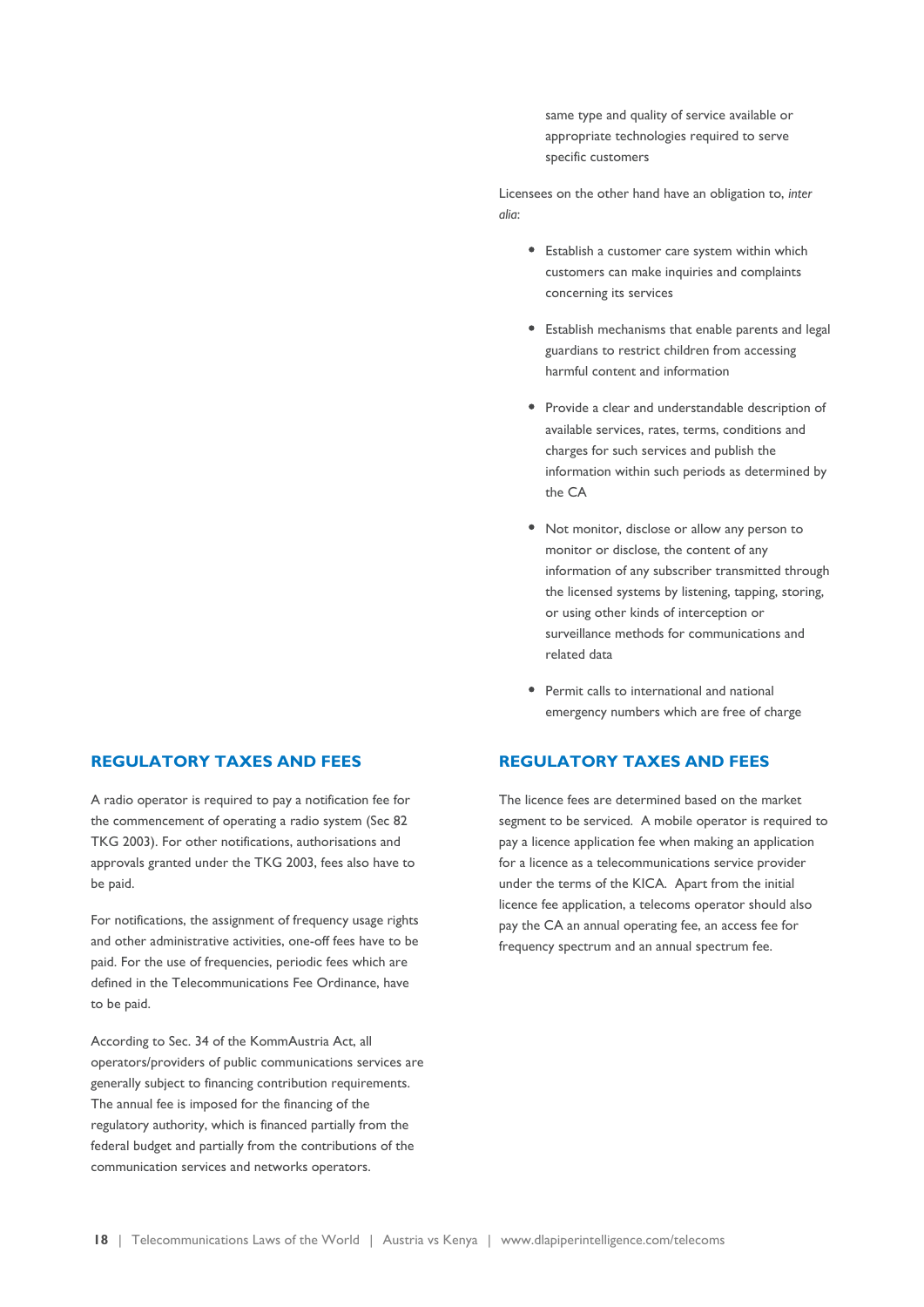same type and quality of service available or appropriate technologies required to serve specific customers

Licensees on the other hand have an obligation to, *inter alia*:

- Establish a customer care system within which customers can make inquiries and complaints concerning its services
- Establish mechanisms that enable parents and legal guardians to restrict children from accessing harmful content and information
- Provide a clear and understandable description of available services, rates, terms, conditions and charges for such services and publish the information within such periods as determined by the CA
- Not monitor, disclose or allow any person to monitor or disclose, the content of any information of any subscriber transmitted through the licensed systems by listening, tapping, storing, or using other kinds of interception or surveillance methods for communications and related data
- Permit calls to international and national emergency numbers which are free of charge

### **REGULATORY TAXES AND FEES**

The licence fees are determined based on the market segment to be serviced. A mobile operator is required to pay a licence application fee when making an application for a licence as a telecommunications service provider under the terms of the KICA. Apart from the initial licence fee application, a telecoms operator should also pay the CA an annual operating fee, an access fee for frequency spectrum and an annual spectrum fee.

### **REGULATORY TAXES AND FEES**

A radio operator is required to pay a notification fee for the commencement of operating a radio system (Sec 82 TKG 2003). For other notifications, authorisations and approvals granted under the TKG 2003, fees also have to be paid.

For notifications, the assignment of frequency usage rights and other administrative activities, one-off fees have to be paid. For the use of frequencies, periodic fees which are defined in the Telecommunications Fee Ordinance, have to be paid.

According to Sec. 34 of the KommAustria Act, all operators/providers of public communications services are generally subject to financing contribution requirements. The annual fee is imposed for the financing of the regulatory authority, which is financed partially from the federal budget and partially from the contributions of the communication services and networks operators.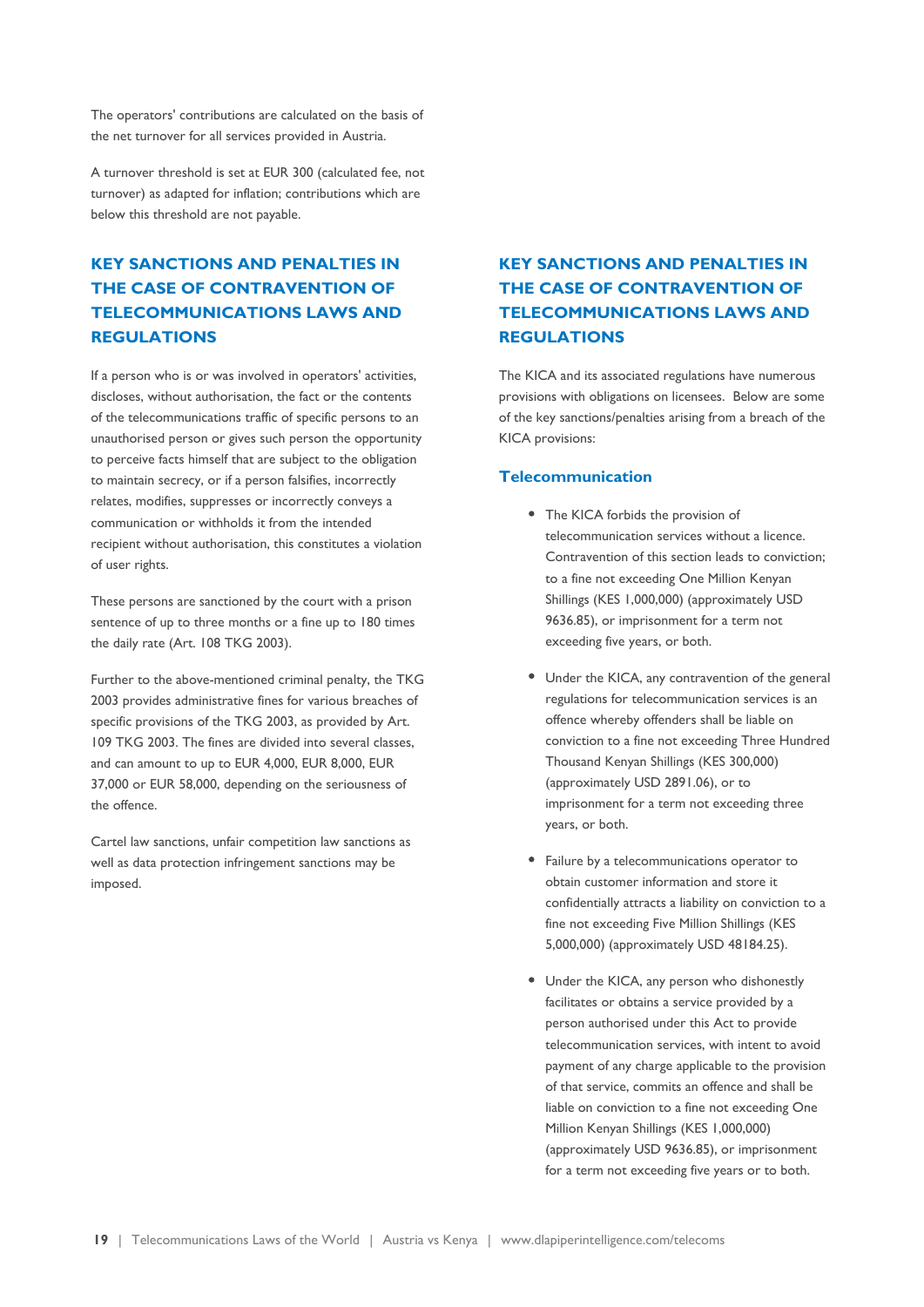The operators' contributions are calculated on the basis of the net turnover for all services provided in Austria.

A turnover threshold is set at EUR 300 (calculated fee, not turnover) as adapted for inflation; contributions which are below this threshold are not payable.

### **KEY SANCTIONS AND PENALTIES IN THE CASE OF CONTRAVENTION OF TELECOMMUNICATIONS LAWS AND REGULATIONS**

If a person who is or was involved in operators' activities, discloses, without authorisation, the fact or the contents of the telecommunications traffic of specific persons to an unauthorised person or gives such person the opportunity to perceive facts himself that are subject to the obligation to maintain secrecy, or if a person falsifies, incorrectly relates, modifies, suppresses or incorrectly conveys a communication or withholds it from the intended recipient without authorisation, this constitutes a violation of user rights.

These persons are sanctioned by the court with a prison sentence of up to three months or a fine up to 180 times the daily rate (Art. 108 TKG 2003).

Further to the above-mentioned criminal penalty, the TKG 2003 provides administrative fines for various breaches of specific provisions of the TKG 2003, as provided by Art. 109 TKG 2003. The fines are divided into several classes, and can amount to up to EUR 4,000, EUR 8,000, EUR 37,000 or EUR 58,000, depending on the seriousness of the offence.

Cartel law sanctions, unfair competition law sanctions as well as data protection infringement sanctions may be imposed.

### **KEY SANCTIONS AND PENALTIES IN THE CASE OF CONTRAVENTION OF TELECOMMUNICATIONS LAWS AND REGULATIONS**

The KICA and its associated regulations have numerous provisions with obligations on licensees. Below are some of the key sanctions/penalties arising from a breach of the KICA provisions:

#### **Telecommunication**

- The KICA forbids the provision of telecommunication services without a licence. Contravention of this section leads to conviction; to a fine not exceeding One Million Kenyan Shillings (KES 1,000,000) (approximately USD 9636.85), or imprisonment for a term not exceeding five years, or both.
- Under the KICA, any contravention of the general regulations for telecommunication services is an offence whereby offenders shall be liable on conviction to a fine not exceeding Three Hundred Thousand Kenyan Shillings (KES 300,000) (approximately USD 2891.06), or to imprisonment for a term not exceeding three years, or both.
- Failure by a telecommunications operator to obtain customer information and store it confidentially attracts a liability on conviction to a fine not exceeding Five Million Shillings (KES 5,000,000) (approximately USD 48184.25).
- Under the KICA, any person who dishonestly facilitates or obtains a service provided by a person authorised under this Act to provide telecommunication services, with intent to avoid payment of any charge applicable to the provision of that service, commits an offence and shall be liable on conviction to a fine not exceeding One Million Kenyan Shillings (KES 1,000,000) (approximately USD 9636.85), or imprisonment for a term not exceeding five years or to both.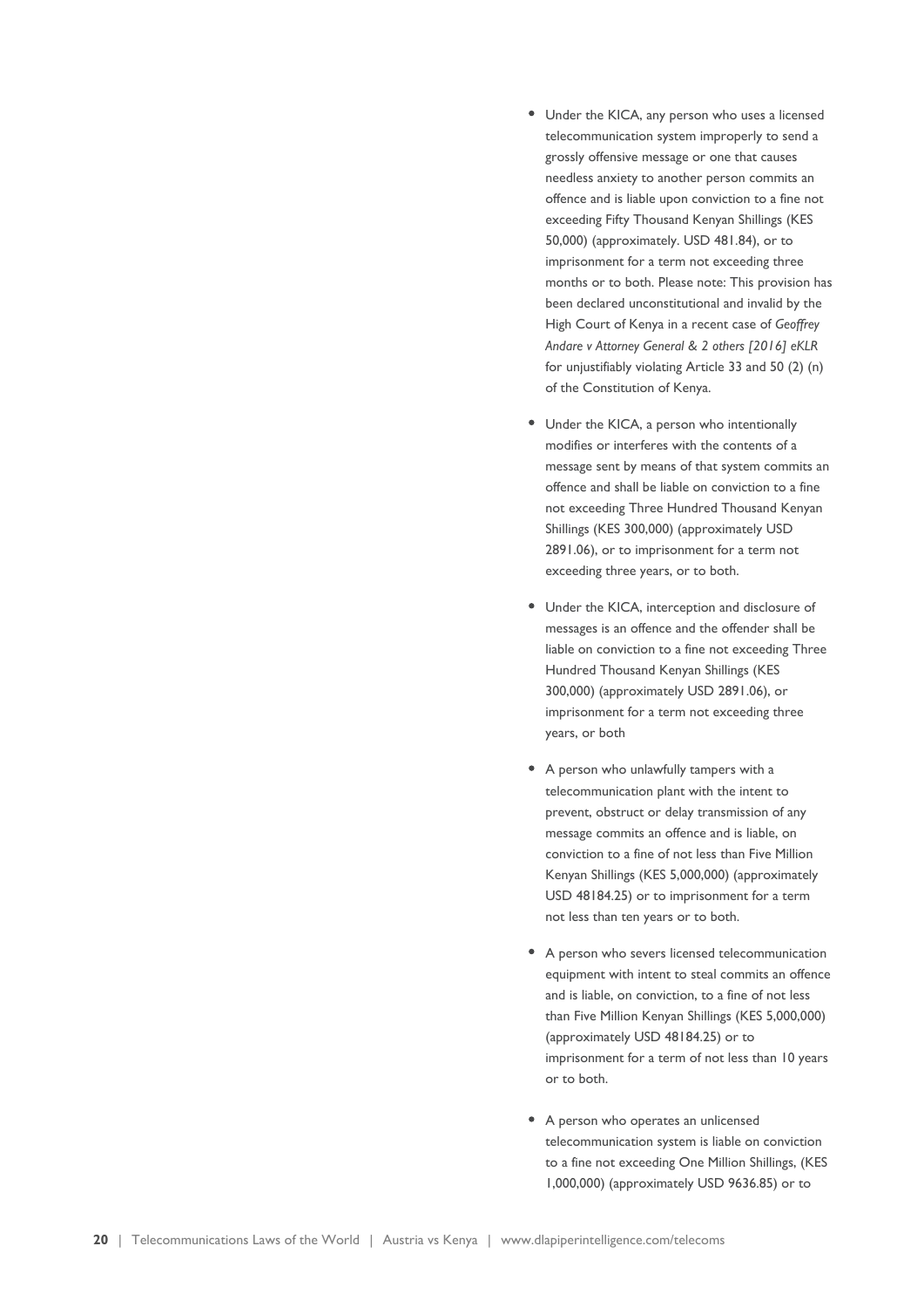- Under the KICA, any person who uses a licensed telecommunication system improperly to send a grossly offensive message or one that causes needless anxiety to another person commits an offence and is liable upon conviction to a fine not exceeding Fifty Thousand Kenyan Shillings (KES 50,000) (approximately. USD 481.84), or to imprisonment for a term not exceeding three months or to both. Please note: This provision has been declared unconstitutional and invalid by the High Court of Kenya in a recent case of *Geoffrey Andare v Attorney General & 2 others [2016] eKLR* for unjustifiably violating Article 33 and 50 (2) (n) of the Constitution of Kenya.
- Under the KICA, a person who intentionally modifies or interferes with the contents of a message sent by means of that system commits an offence and shall be liable on conviction to a fine not exceeding Three Hundred Thousand Kenyan Shillings (KES 300,000) (approximately USD 2891.06), or to imprisonment for a term not exceeding three years, or to both.
- Under the KICA, interception and disclosure of messages is an offence and the offender shall be liable on conviction to a fine not exceeding Three Hundred Thousand Kenyan Shillings (KES 300,000) (approximately USD 2891.06), or imprisonment for a term not exceeding three years, or both
- A person who unlawfully tampers with a telecommunication plant with the intent to prevent, obstruct or delay transmission of any message commits an offence and is liable, on conviction to a fine of not less than Five Million Kenyan Shillings (KES 5,000,000) (approximately USD 48184.25) or to imprisonment for a term not less than ten years or to both.
- A person who severs licensed telecommunication equipment with intent to steal commits an offence and is liable, on conviction, to a fine of not less than Five Million Kenyan Shillings (KES 5,000,000) (approximately USD 48184.25) or to imprisonment for a term of not less than 10 years or to both.
- A person who operates an unlicensed telecommunication system is liable on conviction to a fine not exceeding One Million Shillings, (KES 1,000,000) (approximately USD 9636.85) or to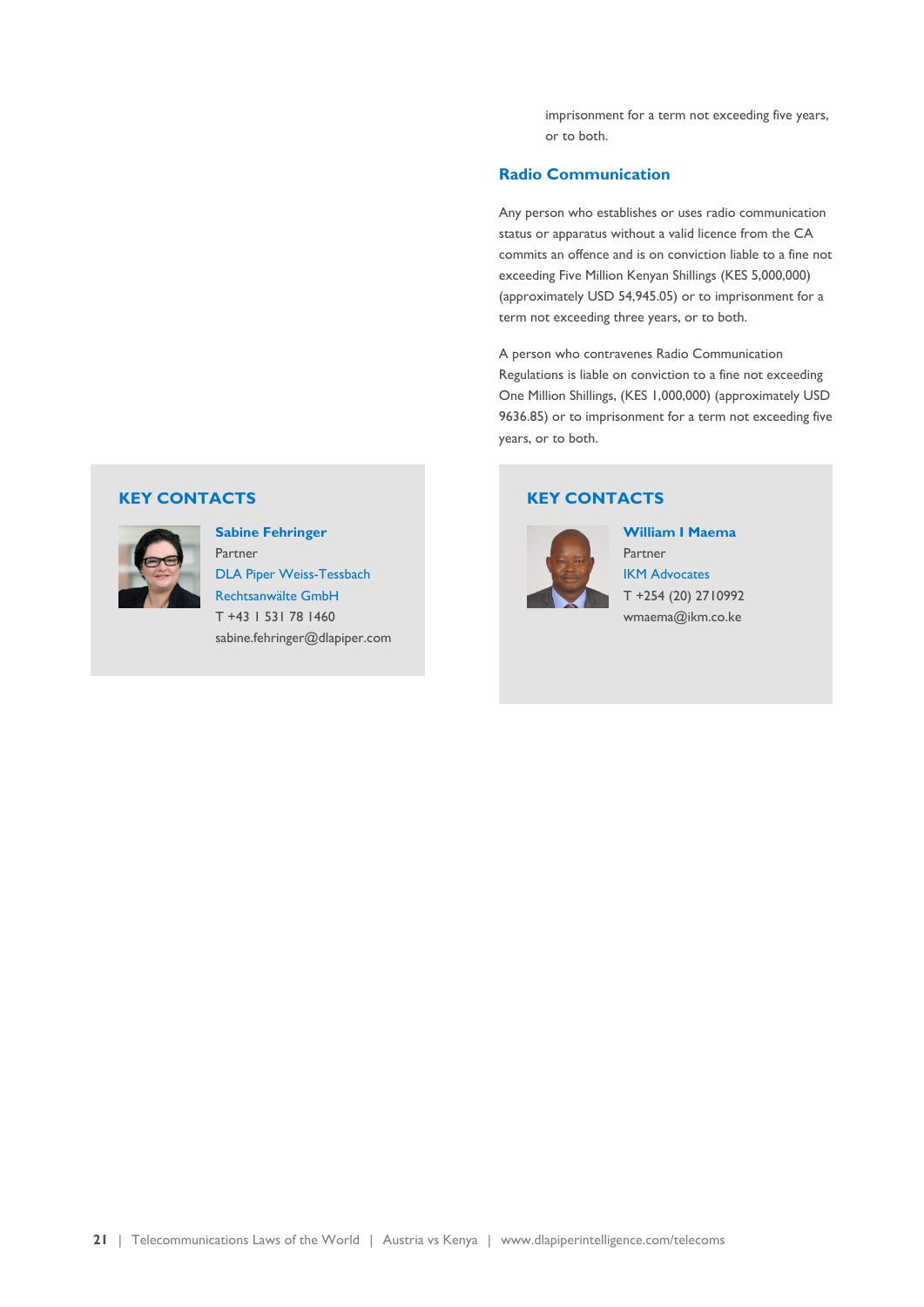imprisonment for a term not exceeding five years, or to both.

### **Radio Communication**

Any person who establishes or uses radio communication status or apparatus without a valid licence from the CA commits an offence and is on conviction liable to a fine not exceeding Five Million Kenyan Shillings (KES 5,000,000) (approximately USD 54,945.05) or to imprisonment for a term not exceeding three years, or to both.

A person who contravenes Radio Communication Regulations is liable on conviction to a fine not exceeding One Million Shillings, (KES 1,000,000) (approximately USD 9636.85) or to imprisonment for a term not exceeding five years, or to both.

### **KEY CONTACTS**



**William I Maema** Partner [IKM Advocates](http://www.ikm.co.ke/) T +254 (20) 2710992 wmaema@ikm.co.ke

### **KEY CONTACTS**



**Sabine Fehringer** Partner

[DLA Piper Weiss-Tessbach](https://www.dlapiper.com/) [Rechtsanwälte GmbH](https://www.dlapiper.com/) T +43 1 531 78 1460 sabine.fehringer@dlapiper.com